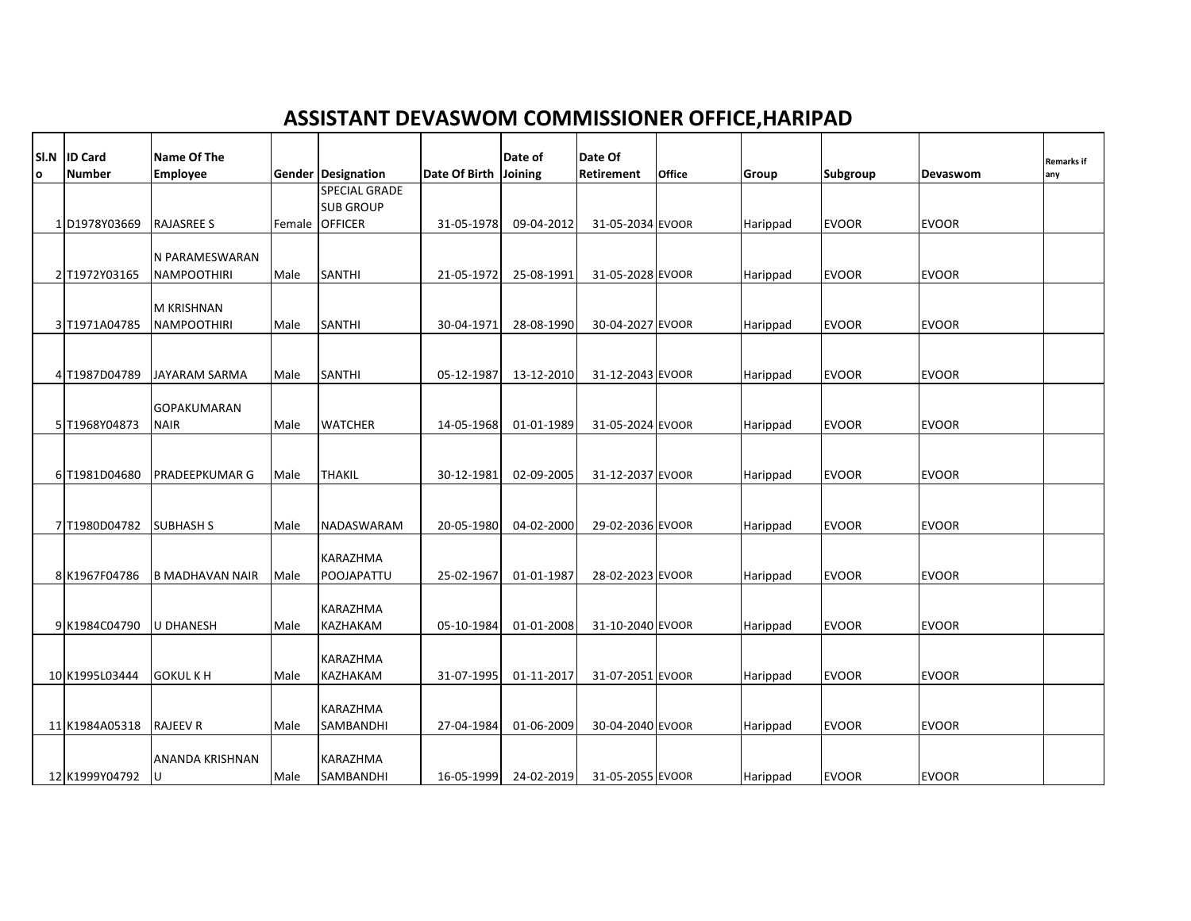## **ASSISTANT DEVASWOM COMMISSIONER OFFICE,HARIPAD**

| ISI.N<br>I٥ | <b>ID Card</b><br><b>Number</b> | Name Of The<br><b>Employee</b>          |      | <b>Gender Designation</b>          | Date Of Birth | Date of<br>Joining | Date Of<br>Retirement | <b>Office</b> | Group    | Subgroup     | Devaswom     | <b>Remarks if</b><br>any |
|-------------|---------------------------------|-----------------------------------------|------|------------------------------------|---------------|--------------------|-----------------------|---------------|----------|--------------|--------------|--------------------------|
|             |                                 |                                         |      | SPECIAL GRADE                      |               |                    |                       |               |          |              |              |                          |
|             |                                 |                                         |      | <b>SUB GROUP</b>                   |               |                    |                       |               |          |              |              |                          |
|             | 1D1978Y03669                    | <b>RAJASREE S</b>                       |      | Female OFFICER                     | 31-05-1978    | 09-04-2012         | 31-05-2034 EVOOR      |               | Harippad | <b>EVOOR</b> | <b>EVOOR</b> |                          |
|             |                                 |                                         |      |                                    |               |                    |                       |               |          |              |              |                          |
|             |                                 | N PARAMESWARAN                          |      |                                    |               |                    |                       |               |          |              |              |                          |
|             | 2 T1972Y03165                   | <b>NAMPOOTHIRI</b>                      | Male | <b>SANTHI</b>                      | 21-05-1972    | 25-08-1991         | 31-05-2028 EVOOR      |               | Harippad | <b>EVOOR</b> | <b>EVOOR</b> |                          |
|             |                                 |                                         |      |                                    |               |                    |                       |               |          |              |              |                          |
|             | 3 T1971A04785                   | <b>M KRISHNAN</b><br><b>NAMPOOTHIRI</b> | Male | <b>SANTHI</b>                      | 30-04-1971    | 28-08-1990         | 30-04-2027 EVOOR      |               |          | <b>EVOOR</b> | <b>EVOOR</b> |                          |
|             |                                 |                                         |      |                                    |               |                    |                       |               | Harippad |              |              |                          |
|             |                                 |                                         |      |                                    |               |                    |                       |               |          |              |              |                          |
|             | 4 T1987D04789                   | <b>JAYARAM SARMA</b>                    | Male | <b>SANTHI</b>                      | 05-12-1987    | 13-12-2010         | 31-12-2043 EVOOR      |               | Harippad | <b>EVOOR</b> | <b>EVOOR</b> |                          |
|             |                                 |                                         |      |                                    |               |                    |                       |               |          |              |              |                          |
|             |                                 | <b>GOPAKUMARAN</b>                      |      |                                    |               |                    |                       |               |          |              |              |                          |
|             | 5 T1968Y04873                   | <b>NAIR</b>                             | Male | <b>WATCHER</b>                     | 14-05-1968    | 01-01-1989         | 31-05-2024 EVOOR      |               | Harippad | <b>EVOOR</b> | <b>EVOOR</b> |                          |
|             |                                 |                                         |      |                                    |               |                    |                       |               |          |              |              |                          |
|             | 6 T1981D04680                   | PRADEEPKUMAR G                          | Male | <b>THAKIL</b>                      | 30-12-1981    | 02-09-2005         | 31-12-2037 EVOOR      |               | Harippad | <b>EVOOR</b> | <b>EVOOR</b> |                          |
|             |                                 |                                         |      |                                    |               |                    |                       |               |          |              |              |                          |
|             |                                 |                                         |      |                                    |               |                    |                       |               |          |              |              |                          |
|             | 7 T1980D04782                   | <b>SUBHASH S</b>                        | Male | NADASWARAM                         | 20-05-1980    | 04-02-2000         | 29-02-2036 EVOOR      |               | Harippad | <b>EVOOR</b> | <b>EVOOR</b> |                          |
|             |                                 |                                         |      |                                    |               |                    |                       |               |          |              |              |                          |
|             |                                 |                                         |      | KARAZHMA                           |               |                    |                       |               |          |              |              |                          |
|             | 8 K1967F04786                   | <b>B MADHAVAN NAIR</b>                  | Male | POOJAPATTU                         | 25-02-1967    | 01-01-1987         | 28-02-2023 EVOOR      |               | Harippad | <b>EVOOR</b> | <b>EVOOR</b> |                          |
|             |                                 |                                         |      |                                    |               |                    |                       |               |          |              |              |                          |
|             | 9 K1984C04790                   | <b>U DHANESH</b>                        | Male | <b>KARAZHMA</b><br><b>KAZHAKAM</b> | 05-10-1984    | 01-01-2008         | 31-10-2040 EVOOR      |               | Harippad | <b>EVOOR</b> | <b>EVOOR</b> |                          |
|             |                                 |                                         |      |                                    |               |                    |                       |               |          |              |              |                          |
|             |                                 |                                         |      | <b>KARAZHMA</b>                    |               |                    |                       |               |          |              |              |                          |
|             | 10 K1995L03444                  | <b>GOKULKH</b>                          | Male | <b>KAZHAKAM</b>                    | 31-07-1995    | 01-11-2017         | 31-07-2051 EVOOR      |               | Harippad | <b>EVOOR</b> | <b>EVOOR</b> |                          |
|             |                                 |                                         |      |                                    |               |                    |                       |               |          |              |              |                          |
|             |                                 |                                         |      | <b>KARAZHMA</b>                    |               |                    |                       |               |          |              |              |                          |
|             | 11 K1984A05318                  | <b>RAJEEV R</b>                         | Male | SAMBANDHI                          | 27-04-1984    | 01-06-2009         | 30-04-2040 EVOOR      |               | Harippad | <b>EVOOR</b> | <b>EVOOR</b> |                          |
|             |                                 | ANANDA KRISHNAN                         |      | KARAZHMA                           |               |                    |                       |               |          |              |              |                          |
|             |                                 |                                         |      |                                    |               |                    |                       |               |          |              |              |                          |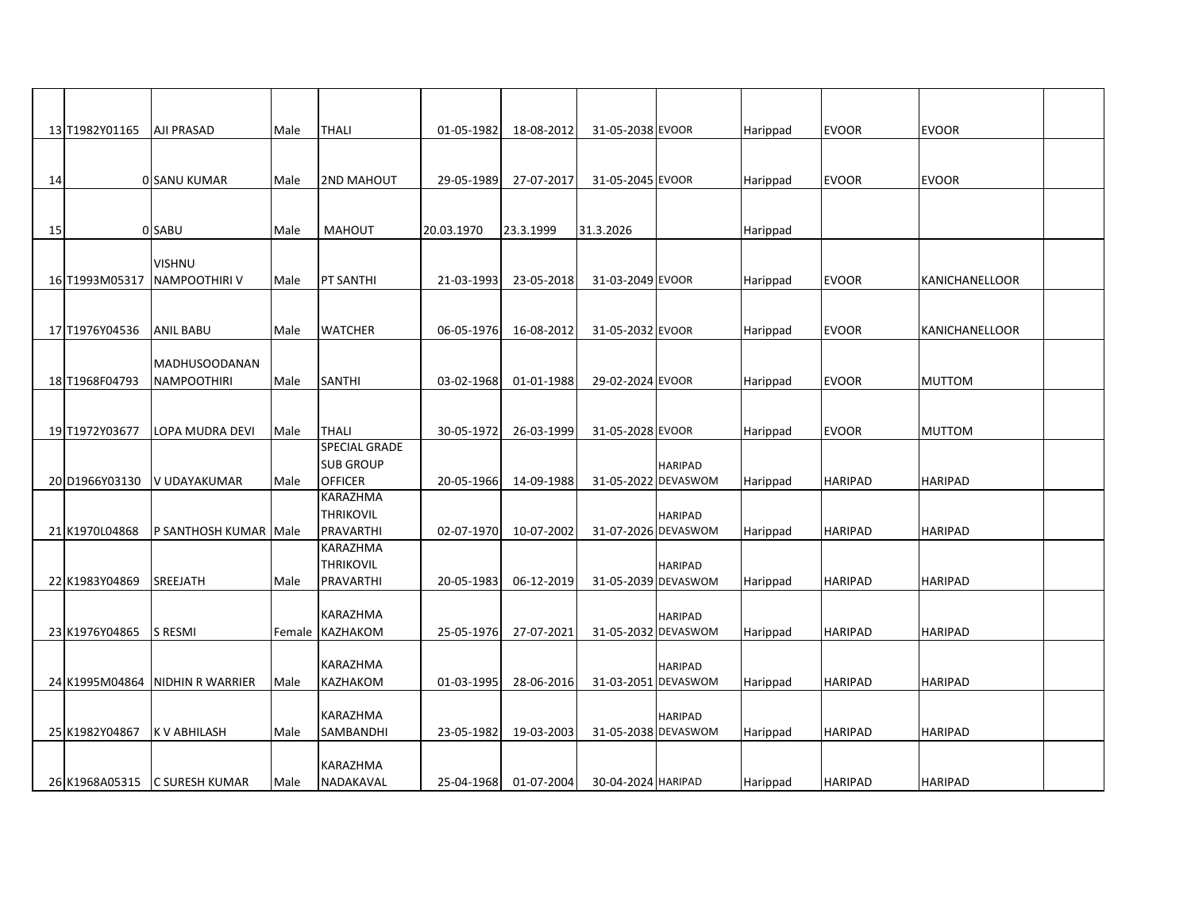|    | 13 T1982Y01165 | <b>AJI PRASAD</b>             | Male | <b>THALI</b>                        | 01-05-1982 | 18-08-2012 | 31-05-2038 EVOOR    |                | Harippad | <b>EVOOR</b>   | <b>EVOOR</b>   |  |
|----|----------------|-------------------------------|------|-------------------------------------|------------|------------|---------------------|----------------|----------|----------------|----------------|--|
|    |                |                               |      |                                     |            |            |                     |                |          |                |                |  |
|    |                |                               |      |                                     |            |            |                     |                |          |                |                |  |
| 14 |                | 0 SANU KUMAR                  | Male | <b>2ND MAHOUT</b>                   | 29-05-1989 | 27-07-2017 | 31-05-2045 EVOOR    |                | Harippad | <b>EVOOR</b>   | <b>EVOOR</b>   |  |
|    |                |                               |      |                                     |            |            |                     |                |          |                |                |  |
| 15 |                | 0 SABU                        | Male | <b>MAHOUT</b>                       | 20.03.1970 | 23.3.1999  | 31.3.2026           |                | Harippad |                |                |  |
|    |                |                               |      |                                     |            |            |                     |                |          |                |                |  |
|    |                | <b>VISHNU</b>                 |      |                                     |            |            |                     |                |          |                |                |  |
|    | 16 T1993M05317 | <b>NAMPOOTHIRIV</b>           | Male | <b>PT SANTHI</b>                    | 21-03-1993 | 23-05-2018 | 31-03-2049 EVOOR    |                | Harippad | <b>EVOOR</b>   | KANICHANELLOOR |  |
|    |                |                               |      |                                     |            |            |                     |                |          |                |                |  |
|    | 17 T1976Y04536 | ANIL BABU                     | Male | <b>WATCHER</b>                      | 06-05-1976 | 16-08-2012 | 31-05-2032 EVOOR    |                | Harippad | <b>EVOOR</b>   | KANICHANELLOOR |  |
|    |                |                               |      |                                     |            |            |                     |                |          |                |                |  |
|    |                | <b>MADHUSOODANAN</b>          |      |                                     |            |            |                     |                |          |                |                |  |
|    | 18 T1968F04793 | <b>NAMPOOTHIRI</b>            | Male | <b>SANTHI</b>                       | 03-02-1968 | 01-01-1988 | 29-02-2024 EVOOR    |                | Harippad | <b>EVOOR</b>   | <b>MUTTOM</b>  |  |
|    |                |                               |      |                                     |            |            |                     |                |          |                |                |  |
|    | 19 T1972Y03677 | LOPA MUDRA DEVI               | Male | <b>THALI</b>                        | 30-05-1972 | 26-03-1999 | 31-05-2028 EVOOR    |                | Harippad | <b>EVOOR</b>   | <b>MUTTOM</b>  |  |
|    |                |                               |      | SPECIAL GRADE                       |            |            |                     |                |          |                |                |  |
|    |                |                               |      | <b>SUB GROUP</b>                    |            |            |                     | <b>HARIPAD</b> |          |                |                |  |
|    | 20 D1966Y03130 | V UDAYAKUMAR                  | Male | <b>OFFICER</b>                      | 20-05-1966 | 14-09-1988 | 31-05-2022 DEVASWOM |                | Harippad | <b>HARIPAD</b> | <b>HARIPAD</b> |  |
|    |                |                               |      | <b>KARAZHMA</b><br><b>THRIKOVIL</b> |            |            |                     | <b>HARIPAD</b> |          |                |                |  |
|    | 21 K1970L04868 | P SANTHOSH KUMAR Male         |      | PRAVARTHI                           | 02-07-1970 | 10-07-2002 | 31-07-2026 DEVASWOM |                | Harippad | <b>HARIPAD</b> | <b>HARIPAD</b> |  |
|    |                |                               |      | <b>KARAZHMA</b>                     |            |            |                     |                |          |                |                |  |
|    |                |                               |      | <b>THRIKOVIL</b>                    |            |            |                     | <b>HARIPAD</b> |          |                |                |  |
|    | 22 K1983Y04869 | SREEJATH                      | Male | PRAVARTHI                           | 20-05-1983 | 06-12-2019 | 31-05-2039 DEVASWOM |                | Harippad | <b>HARIPAD</b> | <b>HARIPAD</b> |  |
|    |                |                               |      | <b>KARAZHMA</b>                     |            |            |                     |                |          |                |                |  |
|    | 23 K1976Y04865 | S RESMI                       |      | Female KAZHAKOM                     | 25-05-1976 | 27-07-2021 | 31-05-2032 DEVASWOM | <b>HARIPAD</b> | Harippad | <b>HARIPAD</b> | <b>HARIPAD</b> |  |
|    |                |                               |      |                                     |            |            |                     |                |          |                |                |  |
|    |                |                               |      | <b>KARAZHMA</b>                     |            |            |                     | <b>HARIPAD</b> |          |                |                |  |
|    | 24 K1995M04864 | NIDHIN R WARRIER              | Male | <b>KAZHAKOM</b>                     | 01-03-1995 | 28-06-2016 | 31-03-2051 DEVASWOM |                | Harippad | <b>HARIPAD</b> | <b>HARIPAD</b> |  |
|    |                |                               |      |                                     |            |            |                     |                |          |                |                |  |
|    | 25 K1982Y04867 | <b>KV ABHILASH</b>            | Male | <b>KARAZHMA</b><br><b>SAMBANDHI</b> | 23-05-1982 | 19-03-2003 | 31-05-2038 DEVASWOM | <b>HARIPAD</b> | Harippad | <b>HARIPAD</b> | <b>HARIPAD</b> |  |
|    |                |                               |      |                                     |            |            |                     |                |          |                |                |  |
|    |                |                               |      | <b>KARAZHMA</b>                     |            |            |                     |                |          |                |                |  |
|    |                | 26 K1968A05315 C SURESH KUMAR | Male | NADAKAVAL                           | 25-04-1968 | 01-07-2004 | 30-04-2024 HARIPAD  |                | Harippad | <b>HARIPAD</b> | <b>HARIPAD</b> |  |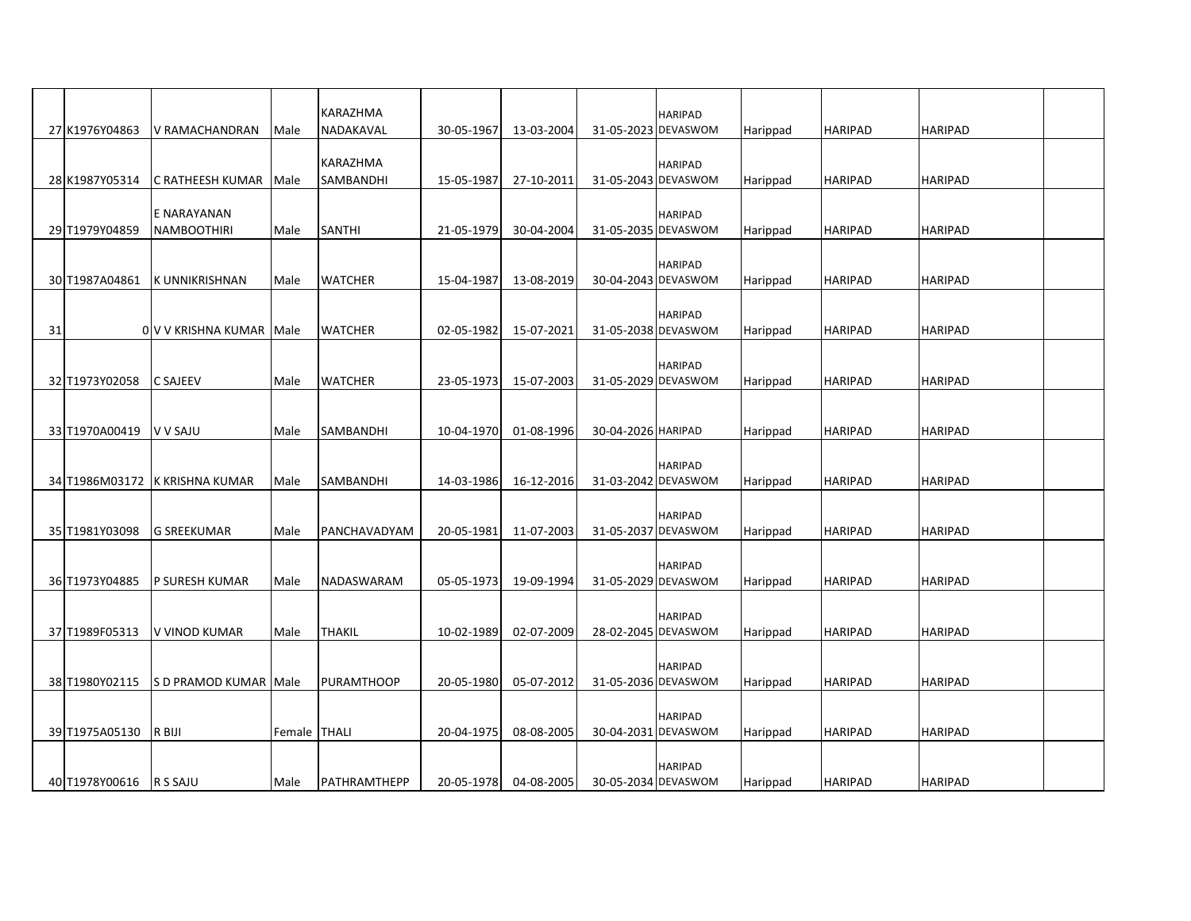|    |                |                                   |              | KARAZHMA                            |            |            |                     | <b>HARIPAD</b>                        |          |                |                |  |
|----|----------------|-----------------------------------|--------------|-------------------------------------|------------|------------|---------------------|---------------------------------------|----------|----------------|----------------|--|
|    | 27 K1976Y04863 | V RAMACHANDRAN                    | Male         | NADAKAVAL                           | 30-05-1967 | 13-03-2004 | 31-05-2023 DEVASWOM |                                       | Harippad | <b>HARIPAD</b> | <b>HARIPAD</b> |  |
|    | 28 K1987Y05314 | C RATHEESH KUMAR                  | Male         | <b>KARAZHMA</b><br><b>SAMBANDHI</b> | 15-05-1987 | 27-10-2011 |                     | <b>HARIPAD</b><br>31-05-2043 DEVASWOM | Harippad | <b>HARIPAD</b> | <b>HARIPAD</b> |  |
|    | 29 T1979Y04859 | E NARAYANAN<br><b>NAMBOOTHIRI</b> | Male         | <b>SANTHI</b>                       | 21-05-1979 | 30-04-2004 | 31-05-2035 DEVASWOM | <b>HARIPAD</b>                        | Harippad | <b>HARIPAD</b> | <b>HARIPAD</b> |  |
|    | 30 T1987A04861 | K UNNIKRISHNAN                    | Male         | <b>WATCHER</b>                      | 15-04-1987 | 13-08-2019 |                     | <b>HARIPAD</b><br>30-04-2043 DEVASWOM | Harippad | <b>HARIPAD</b> | <b>HARIPAD</b> |  |
| 31 |                | 0 V V KRISHNA KUMAR Male          |              | <b>WATCHER</b>                      | 02-05-1982 | 15-07-2021 |                     | <b>HARIPAD</b><br>31-05-2038 DEVASWOM | Harippad | <b>HARIPAD</b> | <b>HARIPAD</b> |  |
|    | 32 T1973Y02058 | C SAJEEV                          | Male         | <b>WATCHER</b>                      | 23-05-1973 | 15-07-2003 |                     | <b>HARIPAD</b><br>31-05-2029 DEVASWOM | Harippad | <b>HARIPAD</b> | <b>HARIPAD</b> |  |
|    | 33 T1970A00419 | V V SAJU                          | Male         | <b>SAMBANDHI</b>                    | 10-04-1970 | 01-08-1996 | 30-04-2026 HARIPAD  |                                       | Harippad | <b>HARIPAD</b> | <b>HARIPAD</b> |  |
|    |                | 34 T1986M03172 K KRISHNA KUMAR    | Male         | <b>SAMBANDHI</b>                    | 14-03-1986 | 16-12-2016 |                     | <b>HARIPAD</b><br>31-03-2042 DEVASWOM | Harippad | <b>HARIPAD</b> | <b>HARIPAD</b> |  |
|    | 35 T1981Y03098 | <b>G SREEKUMAR</b>                | Male         | PANCHAVADYAM                        | 20-05-1981 | 11-07-2003 | 31-05-2037 DEVASWOM | <b>HARIPAD</b>                        | Harippad | <b>HARIPAD</b> | <b>HARIPAD</b> |  |
|    | 36 T1973Y04885 | P SURESH KUMAR                    | Male         | <b>NADASWARAM</b>                   | 05-05-1973 | 19-09-1994 |                     | <b>HARIPAD</b><br>31-05-2029 DEVASWOM | Harippad | <b>HARIPAD</b> | <b>HARIPAD</b> |  |
|    | 37 T1989F05313 | V VINOD KUMAR                     | Male         | <b>THAKIL</b>                       | 10-02-1989 | 02-07-2009 |                     | <b>HARIPAD</b><br>28-02-2045 DEVASWOM | Harippad | <b>HARIPAD</b> | <b>HARIPAD</b> |  |
|    | 38 T1980Y02115 | S D PRAMOD KUMAR Male             |              | PURAMTHOOP                          | 20-05-1980 | 05-07-2012 |                     | <b>HARIPAD</b><br>31-05-2036 DEVASWOM | Harippad | <b>HARIPAD</b> | <b>HARIPAD</b> |  |
|    | 39 T1975A05130 | R BIJI                            | Female THALI |                                     | 20-04-1975 | 08-08-2005 |                     | <b>HARIPAD</b><br>30-04-2031 DEVASWOM | Harippad | <b>HARIPAD</b> | <b>HARIPAD</b> |  |
|    | 40 T1978Y00616 | <b>R S SAJU</b>                   | Male         | <b>PATHRAMTHEPP</b>                 | 20-05-1978 | 04-08-2005 |                     | <b>HARIPAD</b><br>30-05-2034 DEVASWOM | Harippad | <b>HARIPAD</b> | <b>HARIPAD</b> |  |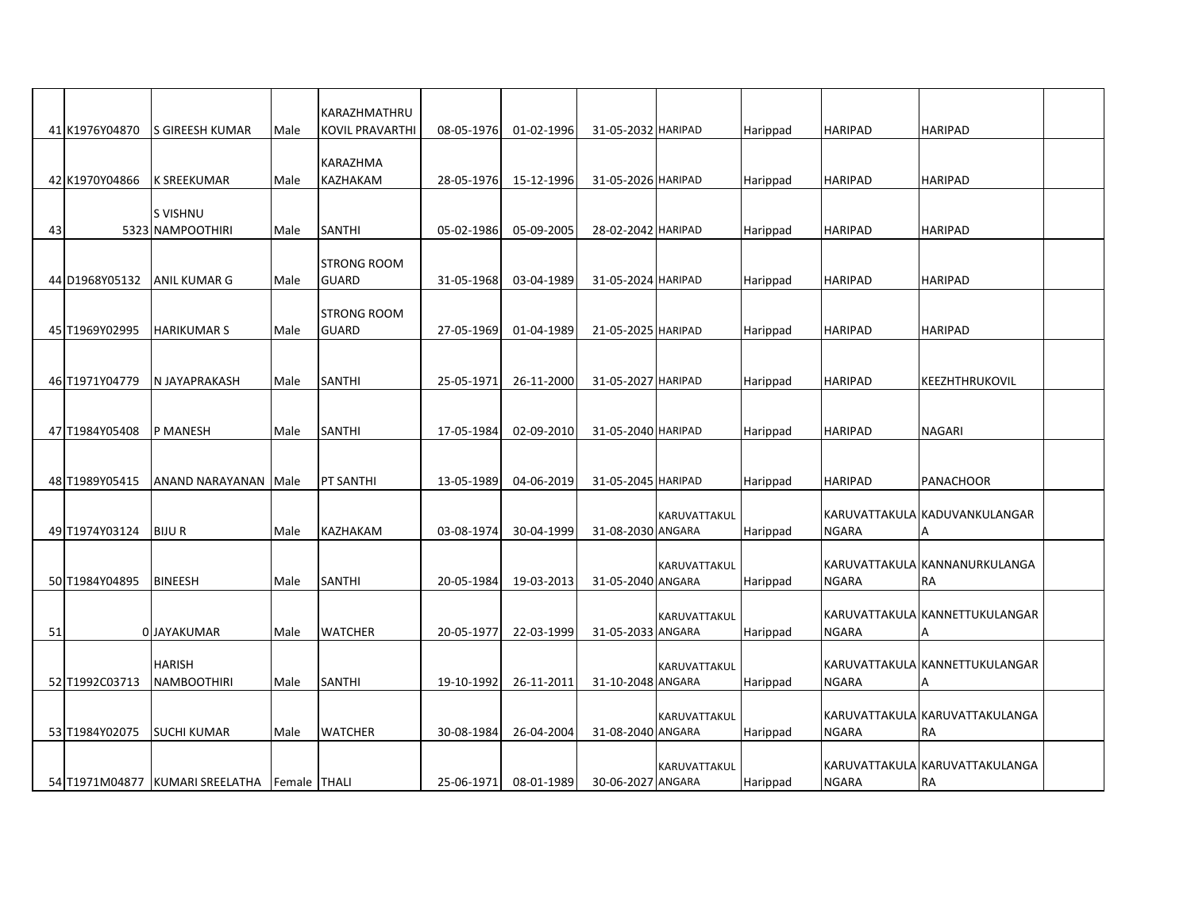|    | 41 K1976Y04870 | <b>S GIREESH KUMAR</b>                       | Male | KARAZHMATHRU<br><b>KOVIL PRAVARTHI</b> | 08-05-1976 | 01-02-1996 | 31-05-2032 HARIPAD |              | Harippad | <b>HARIPAD</b> | <b>HARIPAD</b>                      |  |
|----|----------------|----------------------------------------------|------|----------------------------------------|------------|------------|--------------------|--------------|----------|----------------|-------------------------------------|--|
|    |                |                                              |      |                                        |            |            |                    |              |          |                |                                     |  |
|    |                |                                              |      | KARAZHMA                               |            |            |                    |              |          |                |                                     |  |
|    | 42 K1970Y04866 | <b>K SREEKUMAR</b>                           | Male | KAZHAKAM                               | 28-05-1976 | 15-12-1996 | 31-05-2026 HARIPAD |              | Harippad | <b>HARIPAD</b> | <b>HARIPAD</b>                      |  |
|    |                | <b>S VISHNU</b>                              |      |                                        |            |            |                    |              |          |                |                                     |  |
| 43 |                | 5323 NAMPOOTHIRI                             | Male | <b>SANTHI</b>                          | 05-02-1986 | 05-09-2005 | 28-02-2042 HARIPAD |              | Harippad | <b>HARIPAD</b> | <b>HARIPAD</b>                      |  |
|    |                |                                              |      | <b>STRONG ROOM</b>                     |            |            |                    |              |          |                |                                     |  |
|    | 44 D1968Y05132 | <b>ANIL KUMAR G</b>                          | Male | <b>GUARD</b>                           | 31-05-1968 | 03-04-1989 | 31-05-2024 HARIPAD |              | Harippad | <b>HARIPAD</b> | <b>HARIPAD</b>                      |  |
|    |                |                                              |      |                                        |            |            |                    |              |          |                |                                     |  |
|    |                |                                              |      | <b>STRONG ROOM</b>                     |            |            |                    |              |          |                |                                     |  |
|    | 45 T1969Y02995 | <b>HARIKUMAR S</b>                           | Male | <b>GUARD</b>                           | 27-05-1969 | 01-04-1989 | 21-05-2025 HARIPAD |              | Harippad | <b>HARIPAD</b> | <b>HARIPAD</b>                      |  |
|    |                |                                              |      |                                        |            |            |                    |              |          |                |                                     |  |
|    | 46 T1971Y04779 | N JAYAPRAKASH                                | Male | <b>SANTHI</b>                          | 25-05-1971 | 26-11-2000 | 31-05-2027 HARIPAD |              | Harippad | <b>HARIPAD</b> | KEEZHTHRUKOVIL                      |  |
|    |                |                                              |      |                                        |            |            |                    |              |          |                |                                     |  |
|    | 47 T1984Y05408 | <b>P MANESH</b>                              | Male | <b>SANTHI</b>                          | 17-05-1984 | 02-09-2010 | 31-05-2040 HARIPAD |              | Harippad | <b>HARIPAD</b> | <b>NAGARI</b>                       |  |
|    |                |                                              |      |                                        |            |            |                    |              |          |                |                                     |  |
|    | 48 T1989Y05415 | ANAND NARAYANAN                              | Male | <b>PT SANTHI</b>                       | 13-05-1989 | 04-06-2019 | 31-05-2045 HARIPAD |              | Harippad | <b>HARIPAD</b> | <b>PANACHOOR</b>                    |  |
|    |                |                                              |      |                                        |            |            |                    |              |          |                |                                     |  |
|    |                |                                              |      |                                        |            |            |                    | KARUVATTAKUL |          |                | KARUVATTAKULA KADUVANKULANGAR       |  |
|    | 49 T1974Y03124 | <b>BIJUR</b>                                 | Male | <b>KAZHAKAM</b>                        | 03-08-1974 | 30-04-1999 | 31-08-2030 ANGARA  |              | Harippad | <b>NGARA</b>   | A                                   |  |
|    |                |                                              |      |                                        |            |            |                    | KARUVATTAKUL |          |                | KARUVATTAKULA KANNANURKULANGA       |  |
|    | 50 T1984Y04895 | <b>BINEESH</b>                               | Male | <b>SANTHI</b>                          | 20-05-1984 | 19-03-2013 | 31-05-2040 ANGARA  |              | Harippad | <b>NGARA</b>   | <b>RA</b>                           |  |
|    |                |                                              |      |                                        |            |            |                    |              |          |                |                                     |  |
| 51 |                | 0 JAYAKUMAR                                  | Male | <b>WATCHER</b>                         | 20-05-1977 | 22-03-1999 | 31-05-2033 ANGARA  | KARUVATTAKUL | Harippad | <b>NGARA</b>   | KARUVATTAKULA KANNETTUKULANGAR<br>Α |  |
|    |                |                                              |      |                                        |            |            |                    |              |          |                |                                     |  |
|    |                | <b>HARISH</b>                                |      |                                        |            |            |                    | KARUVATTAKUL |          |                | KARUVATTAKULA KANNETTUKULANGAR      |  |
|    | 52 T1992C03713 | <b>NAMBOOTHIRI</b>                           | Male | <b>SANTHI</b>                          | 19-10-1992 | 26-11-2011 | 31-10-2048 ANGARA  |              | Harippad | <b>NGARA</b>   | A                                   |  |
|    |                |                                              |      |                                        |            |            |                    | KARUVATTAKUL |          |                | KARUVATTAKULA KARUVATTAKULANGA      |  |
|    | 53 T1984Y02075 | <b>SUCHI KUMAR</b>                           | Male | <b>WATCHER</b>                         | 30-08-1984 | 26-04-2004 | 31-08-2040 ANGARA  |              | Harippad | <b>NGARA</b>   | <b>RA</b>                           |  |
|    |                |                                              |      |                                        |            |            |                    | KARUVATTAKUL |          |                | KARUVATTAKULA KARUVATTAKULANGA      |  |
|    |                | 54 T1971M04877 KUMARI SREELATHA Female THALI |      |                                        | 25-06-1971 | 08-01-1989 | 30-06-2027 ANGARA  |              | Harippad | <b>NGARA</b>   | <b>RA</b>                           |  |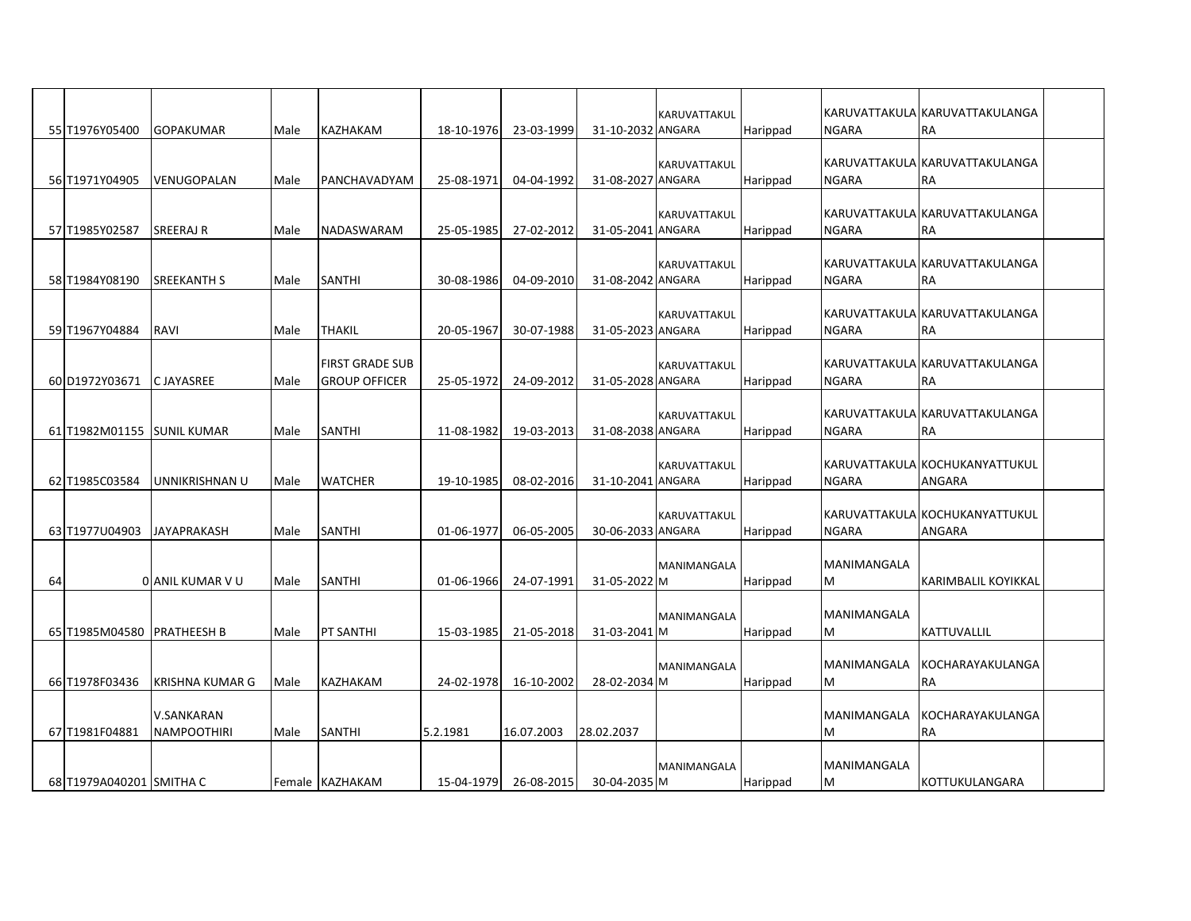|    |                          |                                         |      |                                                |            |            |                   |              |          |                         | KARUVATTAKULA KARUVATTAKULANGA              |  |
|----|--------------------------|-----------------------------------------|------|------------------------------------------------|------------|------------|-------------------|--------------|----------|-------------------------|---------------------------------------------|--|
|    | 55 T1976Y05400           | <b>GOPAKUMAR</b>                        | Male | <b>KAZHAKAM</b>                                | 18-10-1976 | 23-03-1999 | 31-10-2032 ANGARA | KARUVATTAKUL | Harippad | <b>NGARA</b>            | <b>RA</b>                                   |  |
|    |                          |                                         |      |                                                |            |            |                   |              |          |                         | KARUVATTAKULA KARUVATTAKULANGA              |  |
|    | 56 T1971Y04905           | VENUGOPALAN                             | Male | PANCHAVADYAM                                   | 25-08-1971 | 04-04-1992 | 31-08-2027 ANGARA | KARUVATTAKUL | Harippad | NGARA                   | <b>RA</b>                                   |  |
|    |                          |                                         |      |                                                |            |            |                   |              |          |                         |                                             |  |
|    | 57 T1985Y02587           | SREERAJ R                               | Male | NADASWARAM                                     | 25-05-1985 | 27-02-2012 | 31-05-2041 ANGARA | KARUVATTAKUL | Harippad | NGARA                   | KARUVATTAKULA KARUVATTAKULANGA<br><b>RA</b> |  |
|    |                          |                                         |      |                                                |            |            |                   |              |          |                         |                                             |  |
|    | 58 T1984Y08190           | <b>SREEKANTH S</b>                      | Male | <b>SANTHI</b>                                  | 30-08-1986 | 04-09-2010 | 31-08-2042 ANGARA | KARUVATTAKUL | Harippad | <b>NGARA</b>            | KARUVATTAKULA KARUVATTAKULANGA<br><b>RA</b> |  |
|    |                          |                                         |      |                                                |            |            |                   |              |          |                         |                                             |  |
|    | 59 T1967Y04884           | RAVI                                    | Male | <b>THAKIL</b>                                  | 20-05-1967 | 30-07-1988 | 31-05-2023 ANGARA | KARUVATTAKUL | Harippad | NGARA                   | KARUVATTAKULA KARUVATTAKULANGA<br><b>RA</b> |  |
|    |                          |                                         |      |                                                |            |            |                   |              |          |                         |                                             |  |
|    | 60 D1972Y03671           | <b>CJAYASREE</b>                        | Male | <b>FIRST GRADE SUB</b><br><b>GROUP OFFICER</b> | 25-05-1972 | 24-09-2012 | 31-05-2028 ANGARA | KARUVATTAKUL | Harippad | <b>NGARA</b>            | KARUVATTAKULA KARUVATTAKULANGA<br><b>RA</b> |  |
|    |                          |                                         |      |                                                |            |            |                   |              |          |                         |                                             |  |
|    | 61 T1982M01155           | <b>SUNIL KUMAR</b>                      | Male | <b>SANTHI</b>                                  | 11-08-1982 | 19-03-2013 | 31-08-2038 ANGARA | KARUVATTAKUL | Harippad | <b>NGARA</b>            | KARUVATTAKULA KARUVATTAKULANGA<br><b>RA</b> |  |
|    |                          |                                         |      |                                                |            |            |                   |              |          |                         |                                             |  |
|    | 62 T1985C03584           | UNNIKRISHNAN U                          | Male | <b>WATCHER</b>                                 | 19-10-1985 | 08-02-2016 | 31-10-2041 ANGARA | KARUVATTAKUL | Harippad | NGARA                   | KARUVATTAKULA KOCHUKANYATTUKUL<br>ANGARA    |  |
|    |                          |                                         |      |                                                |            |            |                   |              |          |                         |                                             |  |
|    | 63 T1977U04903           | <b>JAYAPRAKASH</b>                      | Male | <b>SANTHI</b>                                  | 01-06-1977 | 06-05-2005 | 30-06-2033 ANGARA | KARUVATTAKUL | Harippad | <b>NGARA</b>            | KARUVATTAKULA KOCHUKANYATTUKUL<br>ANGARA    |  |
|    |                          |                                         |      |                                                |            |            |                   |              |          |                         |                                             |  |
| 64 |                          | O ANIL KUMAR V U                        | Male | <b>SANTHI</b>                                  | 01-06-1966 | 24-07-1991 | 31-05-2022 M      | MANIMANGALA  | Harippad | MANIMANGALA<br>M        | KARIMBALIL KOYIKKAL                         |  |
|    |                          |                                         |      |                                                |            |            |                   |              |          |                         |                                             |  |
|    | 65 T1985M04580           | <b>PRATHEESH B</b>                      | Male | PT SANTHI                                      | 15-03-1985 | 21-05-2018 | 31-03-2041 M      | MANIMANGALA  | Harippad | MANIMANGALA<br>M        | KATTUVALLIL                                 |  |
|    |                          |                                         |      |                                                |            |            |                   |              |          |                         |                                             |  |
|    | 66 T1978F03436           | KRISHNA KUMAR G                         | Male | <b>KAZHAKAM</b>                                | 24-02-1978 | 16-10-2002 | 28-02-2034 M      | MANIMANGALA  | Harippad | <b>MANIMANGALA</b><br>M | KOCHARAYAKULANGA<br><b>RA</b>               |  |
|    |                          |                                         |      |                                                |            |            |                   |              |          |                         |                                             |  |
|    | 67 T1981F04881           | <b>V.SANKARAN</b><br><b>NAMPOOTHIRI</b> | Male | <b>SANTHI</b>                                  | 5.2.1981   | 16.07.2003 | 28.02.2037        |              |          | MANIMANGALA<br>M        | KOCHARAYAKULANGA<br><b>RA</b>               |  |
|    |                          |                                         |      |                                                |            |            |                   |              |          |                         |                                             |  |
|    | 68 T1979A040201 SMITHA C |                                         |      | Female KAZHAKAM                                | 15-04-1979 | 26-08-2015 | 30-04-2035 M      | MANIMANGALA  | Harippad | MANIMANGALA<br>M        | KOTTUKULANGARA                              |  |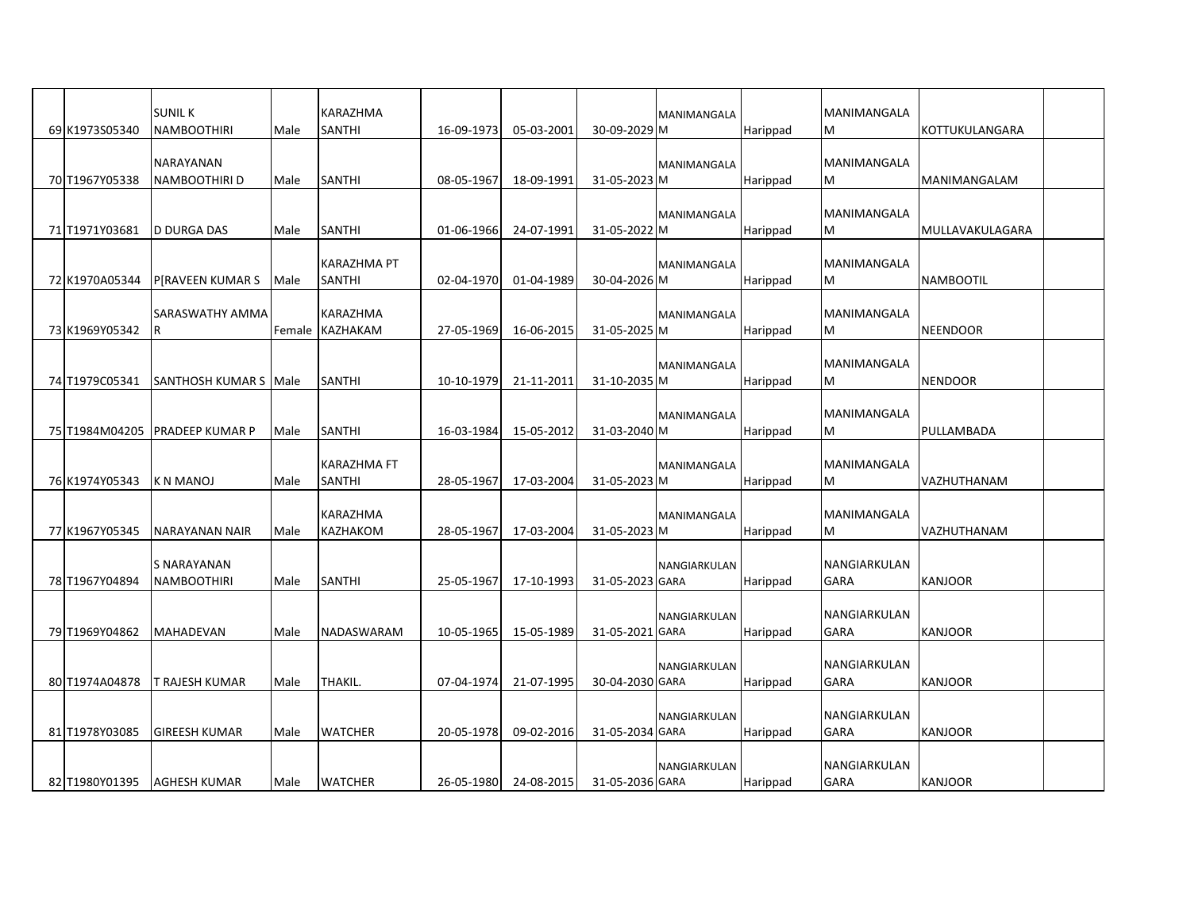|                | <b>SUNIL K</b>               |      | <b>KARAZHMA</b>                    |            |            |                 |                     |                 | MANIMANGALA                 |                    |  |
|----------------|------------------------------|------|------------------------------------|------------|------------|-----------------|---------------------|-----------------|-----------------------------|--------------------|--|
| 69 K1973S05340 | <b>NAMBOOTHIRI</b>           | Male | <b>SANTHI</b>                      | 16-09-1973 | 05-03-2001 | 30-09-2029 M    | MANIMANGALA         | Harippad        | M                           | KOTTUKULANGARA     |  |
|                |                              |      |                                    |            |            |                 |                     |                 |                             |                    |  |
|                | NARAYANAN                    |      |                                    |            |            |                 | MANIMANGALA         |                 | MANIMANGALA                 |                    |  |
| 70 T1967Y05338 | NAMBOOTHIRI D                | Male | <b>SANTHI</b>                      | 08-05-1967 | 18-09-1991 | 31-05-2023 M    |                     | Harippad        | M                           | MANIMANGALAM       |  |
|                |                              |      |                                    |            |            |                 |                     |                 |                             |                    |  |
| 71 T1971Y03681 | <b>D DURGA DAS</b>           | Male | <b>SANTHI</b>                      | 01-06-1966 | 24-07-1991 | 31-05-2022 M    | MANIMANGALA         | Harippad        | MANIMANGALA<br>M            | MULLAVAKULAGARA    |  |
|                |                              |      |                                    |            |            |                 |                     |                 |                             |                    |  |
|                |                              |      | <b>KARAZHMA PT</b>                 |            |            |                 | MANIMANGALA         |                 | MANIMANGALA                 |                    |  |
| 72 K1970A05344 | P[RAVEEN KUMAR S             | Male | <b>SANTHI</b>                      | 02-04-1970 | 01-04-1989 | 30-04-2026 M    |                     | Harippad        | M                           | <b>NAMBOOTIL</b>   |  |
|                |                              |      |                                    |            |            |                 |                     |                 |                             |                    |  |
| 73 K1969Y05342 | SARASWATHY AMMA<br>R         |      | <b>KARAZHMA</b><br>Female KAZHAKAM | 27-05-1969 | 16-06-2015 | 31-05-2025 M    | <b>MANIMANGALA</b>  | Harippad        | <b>MANIMANGALA</b><br>M     | <b>NEENDOOR</b>    |  |
|                |                              |      |                                    |            |            |                 |                     |                 |                             |                    |  |
|                |                              |      |                                    |            |            |                 | MANIMANGALA         |                 | MANIMANGALA                 |                    |  |
| 74 T1979C05341 | <b>SANTHOSH KUMAR S Male</b> |      | <b>SANTHI</b>                      | 10-10-1979 | 21-11-2011 | 31-10-2035 M    |                     | Harippad        | M                           | <b>NENDOOR</b>     |  |
|                |                              |      |                                    |            |            |                 |                     |                 |                             |                    |  |
| 75 T1984M04205 | <b>PRADEEP KUMAR P</b>       | Male | <b>SANTHI</b>                      | 16-03-1984 | 15-05-2012 | 31-03-2040 M    | MANIMANGALA         | Harippad        | <b>MANIMANGALA</b><br>M     | PULLAMBADA         |  |
|                |                              |      |                                    |            |            |                 |                     |                 |                             |                    |  |
|                |                              |      | <b>KARAZHMA FT</b>                 |            |            |                 | MANIMANGALA         |                 | MANIMANGALA                 |                    |  |
| 76 K1974Y05343 | K N MANOJ                    | Male | <b>SANTHI</b>                      | 28-05-1967 | 17-03-2004 | 31-05-2023 M    |                     | Harippad        | M                           | VAZHUTHANAM        |  |
|                |                              |      | <b>KARAZHMA</b>                    |            |            |                 |                     |                 | MANIMANGALA                 |                    |  |
| 77 K1967Y05345 | NARAYANAN NAIR               | Male | <b>KAZHAKOM</b>                    | 28-05-1967 | 17-03-2004 | 31-05-2023 M    | MANIMANGALA         | Harippad        | M                           | <b>VAZHUTHANAM</b> |  |
|                |                              |      |                                    |            |            |                 |                     |                 |                             |                    |  |
|                | S NARAYANAN                  |      |                                    |            |            |                 | NANGIARKULAN        |                 | NANGIARKULAN                |                    |  |
| 78 T1967Y04894 | <b>NAMBOOTHIRI</b>           | Male | <b>SANTHI</b>                      | 25-05-1967 | 17-10-1993 | 31-05-2023 GARA |                     | Harippad        | <b>GARA</b>                 | <b>KANJOOR</b>     |  |
|                |                              |      |                                    |            |            |                 |                     |                 |                             |                    |  |
| 79 T1969Y04862 | <b>MAHADEVAN</b>             | Male | NADASWARAM                         | 10-05-1965 | 15-05-1989 | 31-05-2021 GARA | NANGIARKULAN        | Harippad        | NANGIARKULAN<br><b>GARA</b> | <b>KANJOOR</b>     |  |
|                |                              |      |                                    |            |            |                 |                     |                 |                             |                    |  |
|                |                              |      |                                    |            |            |                 | NANGIARKULAN        |                 | <b>NANGIARKULAN</b>         |                    |  |
| 80 T1974A04878 | T RAJESH KUMAR               | Male | THAKIL.                            | 07-04-1974 | 21-07-1995 | 30-04-2030 GARA |                     | Harippad        | <b>GARA</b>                 | <b>KANJOOR</b>     |  |
|                |                              |      |                                    |            |            |                 |                     |                 |                             |                    |  |
| 81 T1978Y03085 | <b>GIREESH KUMAR</b>         | Male | <b>WATCHER</b>                     | 20-05-1978 | 09-02-2016 | 31-05-2034 GARA | NANGIARKULAN        | Harippad        | NANGIARKULAN<br><b>GARA</b> | <b>KANJOOR</b>     |  |
|                |                              |      |                                    |            |            |                 |                     |                 |                             |                    |  |
|                |                              |      |                                    |            |            |                 | <b>NANGIARKULAN</b> |                 | NANGIARKULAN                |                    |  |
| 82 T1980Y01395 | <b>AGHESH KUMAR</b>          | Male | <b>WATCHER</b>                     | 26-05-1980 | 24-08-2015 | 31-05-2036 GARA |                     | <b>Harippad</b> | <b>GARA</b>                 | <b>KANJOOR</b>     |  |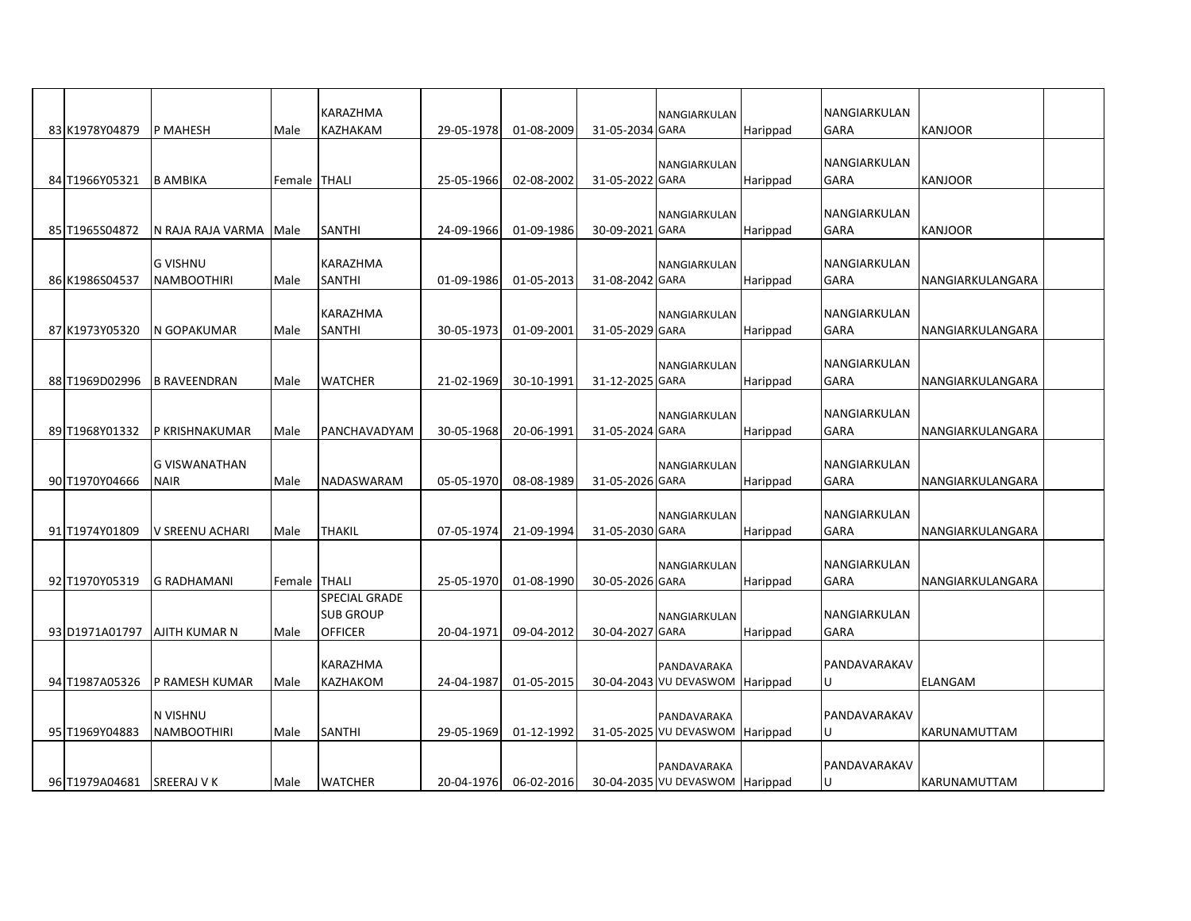|                |                                       |              | KARAZHMA                                            |            |            |                 | NANGIARKULAN                                   |          | NANGIARKULAN                       |                  |  |
|----------------|---------------------------------------|--------------|-----------------------------------------------------|------------|------------|-----------------|------------------------------------------------|----------|------------------------------------|------------------|--|
| 83 K1978Y04879 | <b>P MAHESH</b>                       | Male         | KAZHAKAM                                            | 29-05-1978 | 01-08-2009 | 31-05-2034 GARA |                                                | Harippad | <b>GARA</b>                        | <b>KANJOOR</b>   |  |
| 84 T1966Y05321 | <b>B AMBIKA</b>                       | Female THALI |                                                     | 25-05-1966 | 02-08-2002 | 31-05-2022 GARA | NANGIARKULAN                                   | Harippad | NANGIARKULAN<br><b>GARA</b>        | <b>KANJOOR</b>   |  |
| 85 T1965S04872 | N RAJA RAJA VARMA                     | Male         | <b>SANTHI</b>                                       | 24-09-1966 | 01-09-1986 | 30-09-2021 GARA | NANGIARKULAN                                   | Harippad | <b>NANGIARKULAN</b><br><b>GARA</b> | <b>KANJOOR</b>   |  |
| 86 K1986S04537 | <b>G VISHNU</b><br><b>NAMBOOTHIRI</b> | Male         | KARAZHMA<br><b>SANTHI</b>                           | 01-09-1986 | 01-05-2013 | 31-08-2042 GARA | NANGIARKULAN                                   | Harippad | NANGIARKULAN<br><b>GARA</b>        | NANGIARKULANGARA |  |
| 87 K1973Y05320 | N GOPAKUMAR                           | Male         | <b>KARAZHMA</b><br><b>SANTHI</b>                    | 30-05-1973 | 01-09-2001 | 31-05-2029 GARA | NANGIARKULAN                                   | Harippad | NANGIARKULAN<br><b>GARA</b>        | NANGIARKULANGARA |  |
| 88 T1969D02996 | <b>B RAVEENDRAN</b>                   | Male         | <b>WATCHER</b>                                      | 21-02-1969 | 30-10-1991 | 31-12-2025 GARA | NANGIARKULAN                                   | Harippad | NANGIARKULAN<br><b>GARA</b>        | NANGIARKULANGARA |  |
| 89 T1968Y01332 | P KRISHNAKUMAR                        | Male         | <b>PANCHAVADYAM</b>                                 | 30-05-1968 | 20-06-1991 | 31-05-2024 GARA | NANGIARKULAN                                   | Harippad | NANGIARKULAN<br><b>GARA</b>        | NANGIARKULANGARA |  |
| 90 T1970Y04666 | <b>G VISWANATHAN</b><br><b>NAIR</b>   | Male         | <b>NADASWARAM</b>                                   | 05-05-1970 | 08-08-1989 | 31-05-2026 GARA | NANGIARKULAN                                   | Harippad | NANGIARKULAN<br><b>GARA</b>        | NANGIARKULANGARA |  |
| 91 T1974Y01809 | V SREENU ACHARI                       | Male         | THAKIL                                              | 07-05-1974 | 21-09-1994 | 31-05-2030 GARA | NANGIARKULAN                                   | Harippad | NANGIARKULAN<br><b>GARA</b>        | NANGIARKULANGARA |  |
| 92 T1970Y05319 | <b>G RADHAMANI</b>                    | Female THALI |                                                     | 25-05-1970 | 01-08-1990 | 30-05-2026 GARA | NANGIARKULAN                                   | Harippad | NANGIARKULAN<br><b>GARA</b>        | NANGIARKULANGARA |  |
| 93 D1971A01797 | AJITH KUMAR N                         | Male         | SPECIAL GRADE<br><b>SUB GROUP</b><br><b>OFFICER</b> | 20-04-1971 | 09-04-2012 | 30-04-2027 GARA | NANGIARKULAN                                   | Harippad | NANGIARKULAN<br><b>GARA</b>        |                  |  |
| 94 T1987A05326 | P RAMESH KUMAR                        | Male         | <b>KARAZHMA</b><br>KAZHAKOM                         | 24-04-1987 | 01-05-2015 |                 | PANDAVARAKA<br>30-04-2043 VU DEVASWOM Harippad |          | <b>PANDAVARAKAV</b><br>ΙU          | ELANGAM          |  |
| 95 T1969Y04883 | N VISHNU<br><b>NAMBOOTHIRI</b>        | Male         | <b>SANTHI</b>                                       | 29-05-1969 | 01-12-1992 |                 | PANDAVARAKA<br>31-05-2025 VU DEVASWOM Harippad |          | PANDAVARAKAV<br>ΙU                 | KARUNAMUTTAM     |  |
| 96 T1979A04681 | <b>SREERAJ V K</b>                    | Male         | <b>WATCHER</b>                                      | 20-04-1976 | 06-02-2016 |                 | PANDAVARAKA<br>30-04-2035 VU DEVASWOM Harippad |          | PANDAVARAKAV<br>IU.                | KARUNAMUTTAM     |  |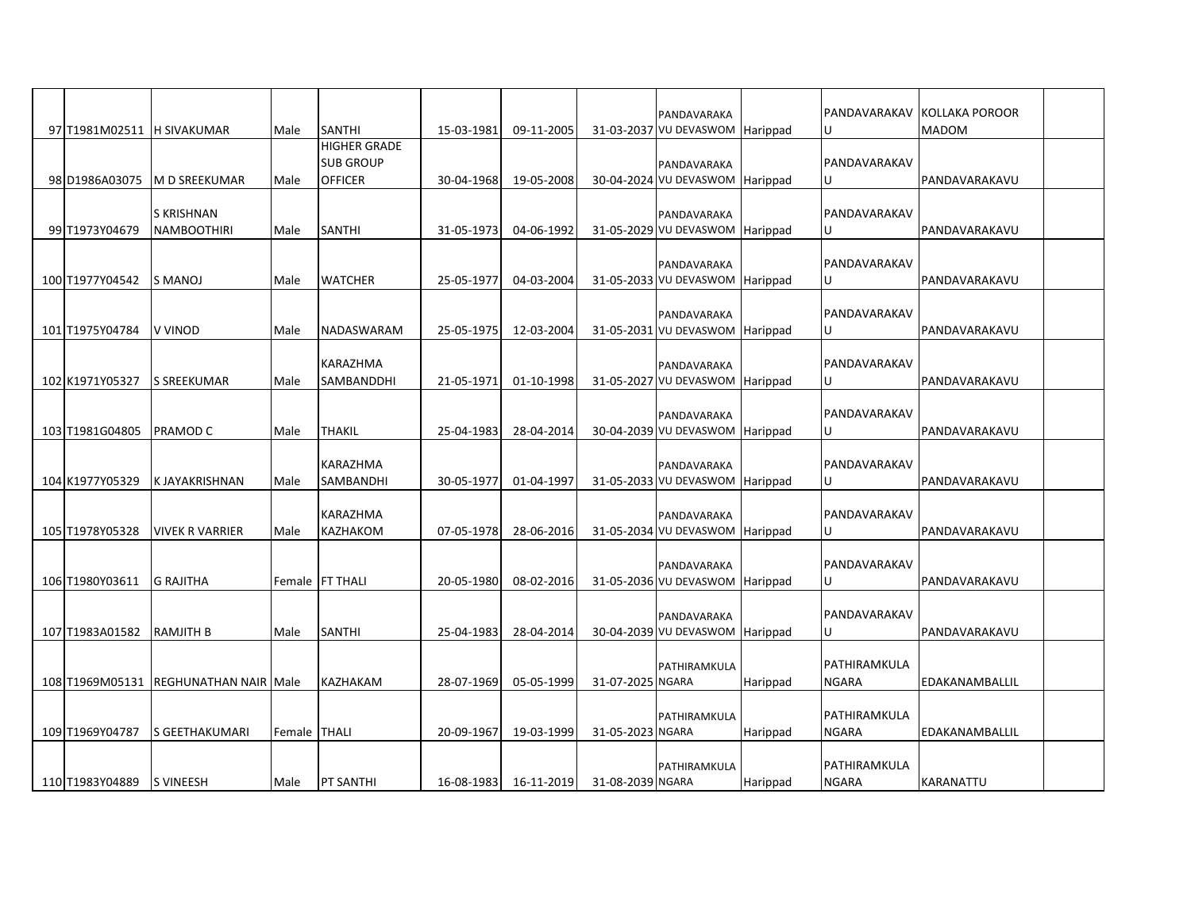|                              |                                       |              |                     |            |            |                  | PANDAVARAKA                                    |          | PANDAVARAKAV | KOLLAKA POROOR   |  |
|------------------------------|---------------------------------------|--------------|---------------------|------------|------------|------------------|------------------------------------------------|----------|--------------|------------------|--|
| 97 T1981M02511   H SIVAKUMAR |                                       | Male         | <b>SANTHI</b>       | 15-03-1981 | 09-11-2005 |                  | 31-03-2037 VU DEVASWOM Harippad                |          | U            | <b>MADOM</b>     |  |
|                              |                                       |              | <b>HIGHER GRADE</b> |            |            |                  |                                                |          |              |                  |  |
|                              |                                       |              | <b>SUB GROUP</b>    |            |            |                  | PANDAVARAKA                                    |          | PANDAVARAKAV |                  |  |
| 98 D1986A03075               | <b>M D SREEKUMAR</b>                  | Male         | <b>OFFICER</b>      | 30-04-1968 | 19-05-2008 |                  | 30-04-2024 VU DEVASWOM Harippad                |          |              | PANDAVARAKAVU    |  |
|                              |                                       |              |                     |            |            |                  |                                                |          |              |                  |  |
|                              | S KRISHNAN                            |              |                     |            |            |                  | PANDAVARAKA                                    |          | PANDAVARAKAV |                  |  |
| 99 T1973Y04679               | <b>NAMBOOTHIRI</b>                    | Male         | <b>SANTHI</b>       | 31-05-1973 | 04-06-1992 |                  | 31-05-2029 VU DEVASWOM Harippad                |          | U            | PANDAVARAKAVU    |  |
|                              |                                       |              |                     |            |            |                  |                                                |          |              |                  |  |
|                              |                                       |              |                     |            |            |                  | PANDAVARAKA                                    |          | PANDAVARAKAV |                  |  |
| 100 T1977Y04542              | S MANOJ                               | Male         | <b>WATCHER</b>      | 25-05-1977 | 04-03-2004 |                  | 31-05-2033 VU DEVASWOM Harippad                |          | U            | PANDAVARAKAVU    |  |
|                              |                                       |              |                     |            |            |                  |                                                |          |              |                  |  |
|                              |                                       |              |                     |            |            |                  |                                                |          | PANDAVARAKAV |                  |  |
| 101 T1975Y04784              | V VINOD                               | Male         | NADASWARAM          | 25-05-1975 | 12-03-2004 |                  | PANDAVARAKA<br>31-05-2031 VU DEVASWOM Harippad |          |              | PANDAVARAKAVU    |  |
|                              |                                       |              |                     |            |            |                  |                                                |          |              |                  |  |
|                              |                                       |              | KARAZHMA            |            |            |                  |                                                |          |              |                  |  |
|                              |                                       |              |                     |            |            |                  | PANDAVARAKA                                    |          | PANDAVARAKAV |                  |  |
| 102 K1971Y05327              | S SREEKUMAR                           | Male         | SAMBANDDHI          | 21-05-1971 | 01-10-1998 |                  | 31-05-2027 VU DEVASWOM Harippad                |          | U            | PANDAVARAKAVU    |  |
|                              |                                       |              |                     |            |            |                  |                                                |          |              |                  |  |
|                              |                                       |              |                     |            |            |                  | PANDAVARAKA                                    |          | PANDAVARAKAV |                  |  |
| 103 T1981G04805              | PRAMOD C                              | Male         | <b>THAKIL</b>       | 25-04-1983 | 28-04-2014 |                  | 30-04-2039 VU DEVASWOM Harippad                |          | U            | PANDAVARAKAVU    |  |
|                              |                                       |              |                     |            |            |                  |                                                |          |              |                  |  |
|                              |                                       |              | KARAZHMA            |            |            |                  | PANDAVARAKA                                    |          | PANDAVARAKAV |                  |  |
| 104 K1977Y05329              | K JAYAKRISHNAN                        | Male         | SAMBANDHI           | 30-05-1977 | 01-04-1997 |                  | 31-05-2033 VU DEVASWOM Harippad                |          | U            | PANDAVARAKAVU    |  |
|                              |                                       |              |                     |            |            |                  |                                                |          |              |                  |  |
|                              |                                       |              | <b>KARAZHMA</b>     |            |            |                  | PANDAVARAKA                                    |          | PANDAVARAKAV |                  |  |
| 105 T1978Y05328              | <b>VIVEK R VARRIER</b>                | Male         | <b>KAZHAKOM</b>     | 07-05-1978 | 28-06-2016 |                  | 31-05-2034 VU DEVASWOM Harippad                |          | U            | PANDAVARAKAVU    |  |
|                              |                                       |              |                     |            |            |                  |                                                |          |              |                  |  |
|                              |                                       |              |                     |            |            |                  | PANDAVARAKA                                    |          | PANDAVARAKAV |                  |  |
| 106 T1980Y03611              | <b>G RAJITHA</b>                      |              | Female FT THALI     | 20-05-1980 | 08-02-2016 |                  | 31-05-2036 VU DEVASWOM Harippad                |          | U            | PANDAVARAKAVU    |  |
|                              |                                       |              |                     |            |            |                  |                                                |          |              |                  |  |
|                              |                                       |              |                     |            |            |                  | PANDAVARAKA                                    |          | PANDAVARAKAV |                  |  |
| 107 T1983A01582              | <b>RAMJITH B</b>                      | Male         | <b>SANTHI</b>       | 25-04-1983 | 28-04-2014 |                  | 30-04-2039 VU DEVASWOM Harippad                |          | U            | PANDAVARAKAVU    |  |
|                              |                                       |              |                     |            |            |                  |                                                |          |              |                  |  |
|                              |                                       |              |                     |            |            |                  | PATHIRAMKULA                                   |          | PATHIRAMKULA |                  |  |
|                              | 108 T1969M05131 REGHUNATHAN NAIR Male |              | <b>KAZHAKAM</b>     | 28-07-1969 | 05-05-1999 | 31-07-2025 NGARA |                                                | Harippad | <b>NGARA</b> | EDAKANAMBALLIL   |  |
|                              |                                       |              |                     |            |            |                  |                                                |          |              |                  |  |
|                              |                                       |              |                     |            |            |                  | PATHIRAMKULA                                   |          | PATHIRAMKULA |                  |  |
| 109 T1969Y04787              | S GEETHAKUMARI                        | Female THALI |                     | 20-09-1967 | 19-03-1999 | 31-05-2023 NGARA |                                                | Harippad | <b>NGARA</b> | EDAKANAMBALLIL   |  |
|                              |                                       |              |                     |            |            |                  |                                                |          |              |                  |  |
|                              |                                       |              |                     |            |            |                  | PATHIRAMKULA                                   |          | PATHIRAMKULA |                  |  |
| 110 T1983Y04889              | <b>S VINEESH</b>                      | Male         | <b>PT SANTHI</b>    | 16-08-1983 | 16-11-2019 | 31-08-2039 NGARA |                                                | Harippad | <b>NGARA</b> | <b>KARANATTU</b> |  |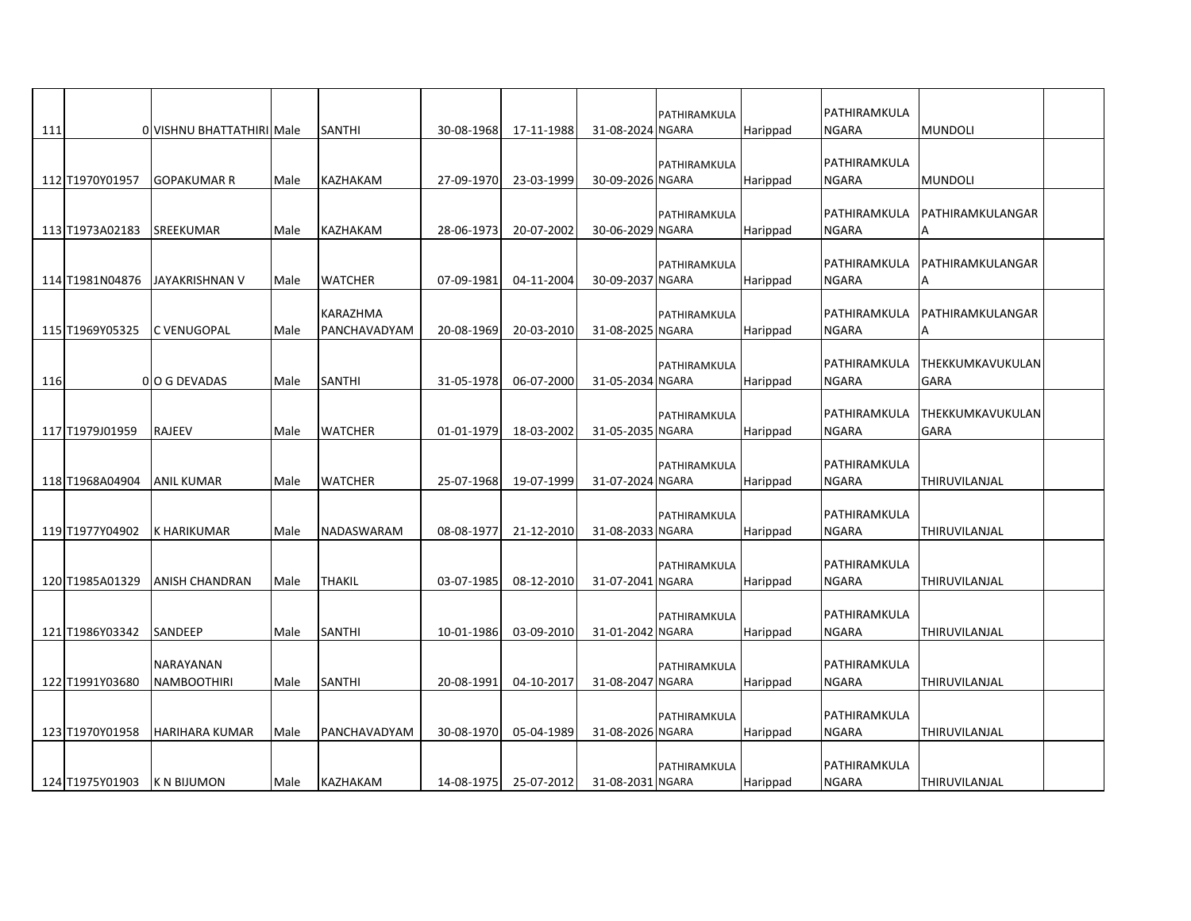| 111 |                 | O VISHNU BHATTATHIRI Male              |      | <b>SANTHI</b>            | 30-08-1968 | 17-11-1988 | 31-08-2024 NGARA | PATHIRAMKULA | Harippad | PATHIRAMKULA<br><b>NGARA</b>        | <b>MUNDOLI</b>        |  |
|-----|-----------------|----------------------------------------|------|--------------------------|------------|------------|------------------|--------------|----------|-------------------------------------|-----------------------|--|
|     |                 |                                        |      |                          |            |            |                  |              |          |                                     |                       |  |
|     | 112 T1970Y01957 | <b>GOPAKUMAR R</b>                     | Male | <b>KAZHAKAM</b>          | 27-09-1970 | 23-03-1999 | 30-09-2026 NGARA | PATHIRAMKULA | Harippad | PATHIRAMKULA<br><b>NGARA</b>        | <b>MUNDOLI</b>        |  |
|     |                 |                                        |      |                          |            |            |                  |              |          |                                     |                       |  |
|     | 113 T1973A02183 | SREEKUMAR                              | Male | <b>KAZHAKAM</b>          | 28-06-1973 | 20-07-2002 | 30-06-2029 NGARA | PATHIRAMKULA | Harippad | <b>PATHIRAMKULA</b><br><b>NGARA</b> | PATHIRAMKULANGAR<br>Α |  |
|     |                 |                                        |      |                          |            |            |                  |              |          |                                     |                       |  |
|     | 114 T1981N04876 | JAYAKRISHNAN V                         | Male | <b>WATCHER</b>           | 07-09-1981 | 04-11-2004 | 30-09-2037 NGARA | PATHIRAMKULA | Harippad | PATHIRAMKULA<br><b>NGARA</b>        | PATHIRAMKULANGAR<br>A |  |
|     |                 |                                        |      |                          |            |            |                  |              |          |                                     |                       |  |
|     | 115 T1969Y05325 |                                        | Male | KARAZHMA<br>PANCHAVADYAM | 20-08-1969 | 20-03-2010 | 31-08-2025 NGARA | PATHIRAMKULA |          | PATHIRAMKULA<br><b>NGARA</b>        | PATHIRAMKULANGAR<br>А |  |
|     |                 | C VENUGOPAL                            |      |                          |            |            |                  |              | Harippad |                                     |                       |  |
|     |                 |                                        |      |                          |            |            |                  | PATHIRAMKULA |          | PATHIRAMKULA                        | THEKKUMKAVUKULAN      |  |
| 116 |                 | 0 O G DEVADAS                          | Male | <b>SANTHI</b>            | 31-05-1978 | 06-07-2000 | 31-05-2034 NGARA |              | Harippad | <b>NGARA</b>                        | <b>GARA</b>           |  |
|     |                 |                                        |      |                          |            |            |                  | PATHIRAMKULA |          | PATHIRAMKULA                        | THEKKUMKAVUKULAN      |  |
|     | 117 T1979J01959 | <b>RAJEEV</b>                          | Male | <b>WATCHER</b>           | 01-01-1979 | 18-03-2002 | 31-05-2035 NGARA |              | Harippad | <b>NGARA</b>                        | <b>GARA</b>           |  |
|     |                 |                                        |      |                          |            |            |                  | PATHIRAMKULA |          | PATHIRAMKULA                        |                       |  |
|     | 118 T1968A04904 | <b>ANIL KUMAR</b>                      | Male | <b>WATCHER</b>           | 25-07-1968 | 19-07-1999 | 31-07-2024 NGARA |              | Harippad | <b>NGARA</b>                        | THIRUVILANJAL         |  |
|     |                 |                                        |      |                          |            |            |                  | PATHIRAMKULA |          | PATHIRAMKULA                        |                       |  |
|     | 119 T1977Y04902 | K HARIKUMAR                            | Male | <b>NADASWARAM</b>        | 08-08-1977 | 21-12-2010 | 31-08-2033 NGARA |              | Harippad | <b>NGARA</b>                        | THIRUVILANJAL         |  |
|     |                 |                                        |      |                          |            |            |                  | PATHIRAMKULA |          | PATHIRAMKULA                        |                       |  |
|     | 120 T1985A01329 | ANISH CHANDRAN                         | Male | <b>THAKIL</b>            | 03-07-1985 | 08-12-2010 | 31-07-2041 NGARA |              | Harippad | <b>NGARA</b>                        | THIRUVILANJAL         |  |
|     |                 |                                        |      |                          |            |            |                  | PATHIRAMKULA |          | PATHIRAMKULA                        |                       |  |
|     | 121 T1986Y03342 | <b>SANDEEP</b>                         | Male | <b>SANTHI</b>            | 10-01-1986 | 03-09-2010 | 31-01-2042 NGARA |              | Harippad | <b>NGARA</b>                        | THIRUVILANJAL         |  |
|     |                 |                                        |      |                          |            |            |                  |              |          |                                     |                       |  |
|     | 122 T1991Y03680 | <b>NARAYANAN</b><br><b>NAMBOOTHIRI</b> | Male | <b>SANTHI</b>            | 20-08-1991 | 04-10-2017 | 31-08-2047 NGARA | PATHIRAMKULA | Harippad | PATHIRAMKULA<br><b>NGARA</b>        | THIRUVILANJAL         |  |
|     |                 |                                        |      |                          |            |            |                  |              |          |                                     |                       |  |
|     | 123 T1970Y01958 | <b>HARIHARA KUMAR</b>                  | Male | PANCHAVADYAM             | 30-08-1970 | 05-04-1989 | 31-08-2026 NGARA | PATHIRAMKULA | Harippad | PATHIRAMKULA<br><b>NGARA</b>        | THIRUVILANJAL         |  |
|     |                 |                                        |      |                          |            |            |                  |              |          |                                     |                       |  |
|     |                 |                                        |      |                          |            |            |                  | PATHIRAMKULA |          | PATHIRAMKULA                        |                       |  |
|     | 124 T1975Y01903 | IK N BIJUMON                           | Male | KAZHAKAM                 | 14-08-1975 | 25-07-2012 | 31-08-2031 NGARA |              | Harippad | <b>NGARA</b>                        | THIRUVILANJAL         |  |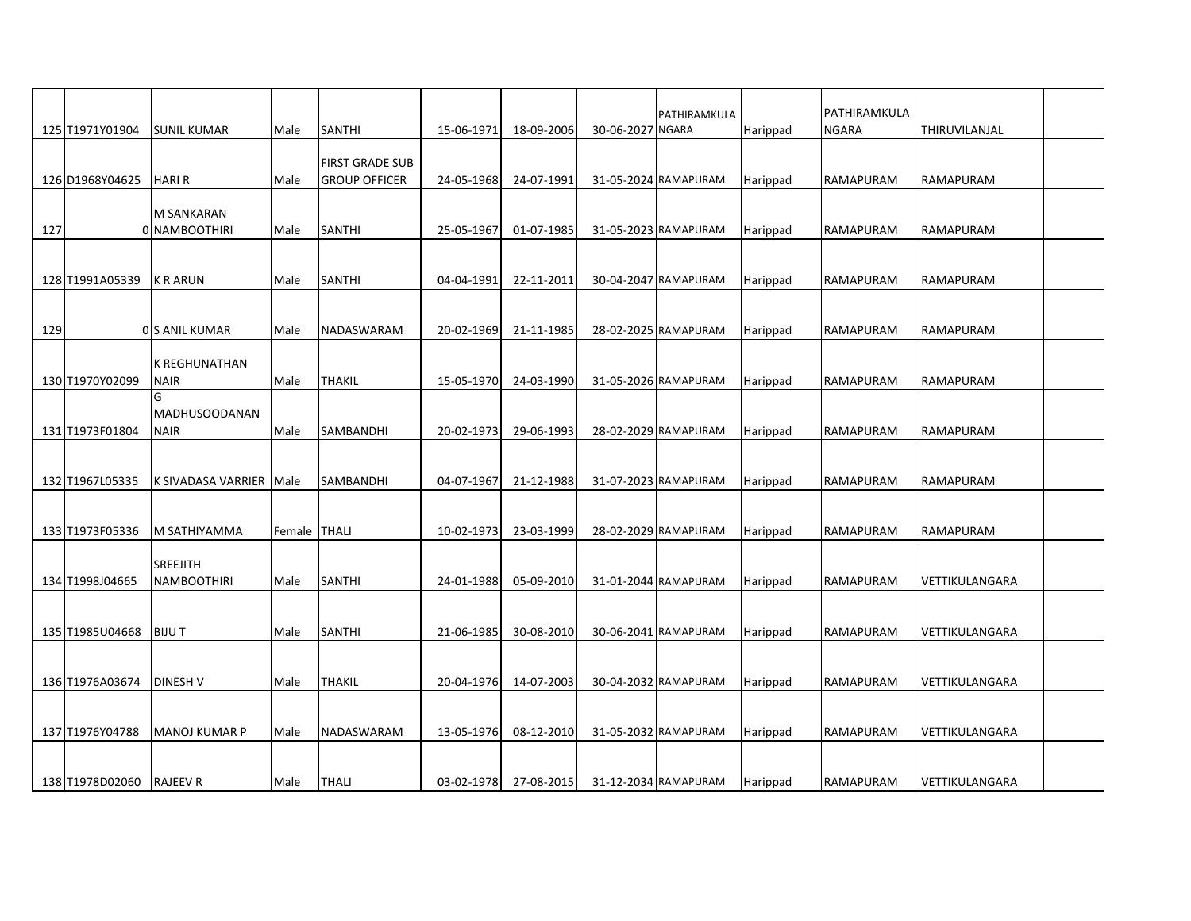|     |                          |                                       |                |                                                |            |            |                  | PATHIRAMKULA         |          | PATHIRAMKULA     |                  |  |
|-----|--------------------------|---------------------------------------|----------------|------------------------------------------------|------------|------------|------------------|----------------------|----------|------------------|------------------|--|
|     | 125 T1971Y01904          | <b>SUNIL KUMAR</b>                    | Male           | <b>SANTHI</b>                                  | 15-06-1971 | 18-09-2006 | 30-06-2027 NGARA |                      | Harippad | <b>NGARA</b>     | THIRUVILANJAL    |  |
|     | 126 D1968Y04625          | <b>HARI R</b>                         | Male           | <b>FIRST GRADE SUB</b><br><b>GROUP OFFICER</b> | 24-05-1968 | 24-07-1991 |                  | 31-05-2024 RAMAPURAM | Harippad | RAMAPURAM        | <b>RAMAPURAM</b> |  |
| 127 |                          | <b>M SANKARAN</b><br>0 NAMBOOTHIRI    | Male           | <b>SANTHI</b>                                  | 25-05-1967 | 01-07-1985 |                  | 31-05-2023 RAMAPURAM | Harippad | RAMAPURAM        | RAMAPURAM        |  |
|     | 128 T1991A05339          | <b>KRARUN</b>                         | Male           | <b>SANTHI</b>                                  | 04-04-1991 | 22-11-2011 |                  | 30-04-2047 RAMAPURAM | Harippad | RAMAPURAM        | RAMAPURAM        |  |
|     |                          |                                       |                |                                                |            |            |                  |                      |          |                  |                  |  |
| 129 |                          | <b>0 S ANIL KUMAR</b>                 | Male           | NADASWARAM                                     | 20-02-1969 | 21-11-1985 |                  | 28-02-2025 RAMAPURAM | Harippad | <b>RAMAPURAM</b> | <b>RAMAPURAM</b> |  |
|     | 130 T1970Y02099          | K REGHUNATHAN<br><b>NAIR</b>          | Male           | <b>THAKIL</b>                                  | 15-05-1970 | 24-03-1990 |                  | 31-05-2026 RAMAPURAM | Harippad | RAMAPURAM        | RAMAPURAM        |  |
|     | 131 T1973F01804          | G<br>MADHUSOODANAN<br><b>NAIR</b>     | Male           | <b>SAMBANDHI</b>                               | 20-02-1973 | 29-06-1993 |                  | 28-02-2029 RAMAPURAM | Harippad | RAMAPURAM        | <b>RAMAPURAM</b> |  |
|     | 132 T1967L05335          | K SIVADASA VARRIER Male               |                | SAMBANDHI                                      | 04-07-1967 | 21-12-1988 |                  | 31-07-2023 RAMAPURAM | Harippad | RAMAPURAM        | RAMAPURAM        |  |
|     |                          |                                       |                |                                                |            |            |                  |                      |          |                  |                  |  |
|     | 133 T1973F05336          | lM SATHIYAMMA                         | Female   THALI |                                                | 10-02-1973 | 23-03-1999 |                  | 28-02-2029 RAMAPURAM | Harippad | RAMAPURAM        | RAMAPURAM        |  |
|     | 134 T1998J04665          | <b>SREEJITH</b><br><b>NAMBOOTHIRI</b> | Male           | <b>SANTHI</b>                                  | 24-01-1988 | 05-09-2010 |                  | 31-01-2044 RAMAPURAM | Harippad | RAMAPURAM        | VETTIKULANGARA   |  |
|     |                          |                                       |                |                                                |            |            |                  |                      |          |                  |                  |  |
|     | 135 T1985U04668          | <b>BIJUT</b>                          | Male           | <b>SANTHI</b>                                  | 21-06-1985 | 30-08-2010 |                  | 30-06-2041 RAMAPURAM | Harippad | RAMAPURAM        | VETTIKULANGARA   |  |
|     | 136 T1976A03674          | <b>DINESH V</b>                       | Male           | <b>THAKIL</b>                                  | 20-04-1976 | 14-07-2003 |                  | 30-04-2032 RAMAPURAM | Harippad | <b>RAMAPURAM</b> | VETTIKULANGARA   |  |
|     |                          |                                       |                |                                                |            |            |                  |                      |          |                  |                  |  |
|     | 137 T1976Y04788          | MANOJ KUMAR P                         | Male           | NADASWARAM                                     | 13-05-1976 | 08-12-2010 |                  | 31-05-2032 RAMAPURAM | Harippad | RAMAPURAM        | VETTIKULANGARA   |  |
|     | 138 T1978D02060 RAJEEV R |                                       | Male           | <b>THALI</b>                                   | 03-02-1978 | 27-08-2015 |                  | 31-12-2034 RAMAPURAM | Harippad | RAMAPURAM        | VETTIKULANGARA   |  |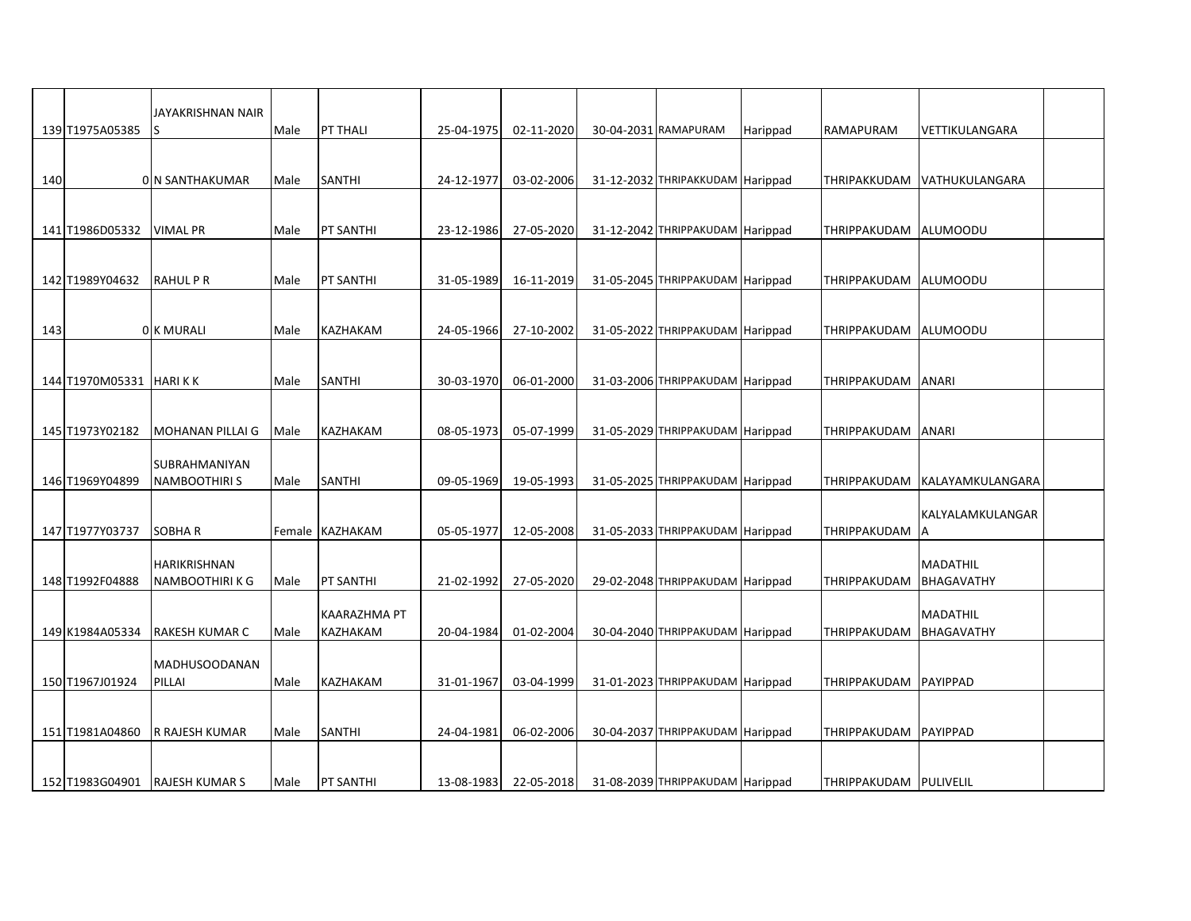|     |                            | JAYAKRISHNAN NAIR              |      |                  |            |            |                                  |          |                          |                                |  |
|-----|----------------------------|--------------------------------|------|------------------|------------|------------|----------------------------------|----------|--------------------------|--------------------------------|--|
|     | 139 T1975A05385            | ١s                             | Male | <b>PT THALI</b>  | 25-04-1975 | 02-11-2020 | 30-04-2031 RAMAPURAM             | Harippad | <b>RAMAPURAM</b>         | VETTIKULANGARA                 |  |
|     |                            |                                |      |                  |            |            |                                  |          |                          |                                |  |
| 140 |                            | 0 N SANTHAKUMAR                | Male | <b>SANTHI</b>    | 24-12-1977 | 03-02-2006 | 31-12-2032 THRIPAKKUDAM Harippad |          |                          | THRIPAKKUDAM VATHUKULANGARA    |  |
|     |                            |                                |      |                  |            |            |                                  |          |                          |                                |  |
|     |                            |                                |      |                  |            |            |                                  |          |                          |                                |  |
|     | 141 T1986D05332            | <b>VIMAL PR</b>                | Male | <b>PT SANTHI</b> | 23-12-1986 | 27-05-2020 | 31-12-2042 THRIPPAKUDAM Harippad |          | THRIPPAKUDAM  ALUMOODU   |                                |  |
|     |                            |                                |      |                  |            |            |                                  |          |                          |                                |  |
|     | 142 T1989Y04632            | <b>RAHULPR</b>                 | Male | <b>PT SANTHI</b> | 31-05-1989 | 16-11-2019 | 31-05-2045 THRIPPAKUDAM Harippad |          | THRIPPAKUDAM ALUMOODU    |                                |  |
|     |                            |                                |      |                  |            |            |                                  |          |                          |                                |  |
|     |                            |                                |      |                  |            |            |                                  |          |                          |                                |  |
| 143 |                            | 0K MURALI                      | Male | <b>KAZHAKAM</b>  | 24-05-1966 | 27-10-2002 | 31-05-2022 THRIPPAKUDAM Harippad |          | THRIPPAKUDAM ALUMOODU    |                                |  |
|     |                            |                                |      |                  |            |            |                                  |          |                          |                                |  |
|     | 144 T1970M05331   HARI K K |                                | Male | <b>SANTHI</b>    | 30-03-1970 | 06-01-2000 | 31-03-2006 THRIPPAKUDAM Harippad |          | <b>ITHRIPPAKUDAM</b>     | <b>ANARI</b>                   |  |
|     |                            |                                |      |                  |            |            |                                  |          |                          |                                |  |
|     |                            |                                |      |                  |            |            |                                  |          |                          |                                |  |
|     | 145 T1973Y02182            | <b>MOHANAN PILLAI G</b>        | Male | <b>KAZHAKAM</b>  | 08-05-1973 | 05-07-1999 | 31-05-2029 THRIPPAKUDAM Harippad |          | THRIPPAKUDAM ANARI       |                                |  |
|     |                            | SUBRAHMANIYAN                  |      |                  |            |            |                                  |          |                          |                                |  |
|     | 146 T1969Y04899            | <b>NAMBOOTHIRI S</b>           | Male | <b>SANTHI</b>    | 09-05-1969 | 19-05-1993 | 31-05-2025 THRIPPAKUDAM Harippad |          |                          | THRIPPAKUDAM  KALAYAMKULANGARA |  |
|     |                            |                                |      |                  |            |            |                                  |          |                          |                                |  |
|     |                            |                                |      |                  |            |            |                                  |          |                          | KALYALAMKULANGAR               |  |
|     | 147 T1977Y03737            | <b>SOBHAR</b>                  |      | Female KAZHAKAM  | 05-05-1977 | 12-05-2008 | 31-05-2033 THRIPPAKUDAM Harippad |          | THRIPPAKUDAM             | ۱A                             |  |
|     |                            | HARIKRISHNAN                   |      |                  |            |            |                                  |          |                          | <b>MADATHIL</b>                |  |
|     | 148 T1992F04888            | <b>NAMBOOTHIRIKG</b>           | Male | PT SANTHI        | 21-02-1992 | 27-05-2020 | 29-02-2048 THRIPPAKUDAM Harippad |          | <b>THRIPPAKUDAM</b>      | <b>BHAGAVATHY</b>              |  |
|     |                            |                                |      |                  |            |            |                                  |          |                          |                                |  |
|     |                            |                                |      | KAARAZHMA PT     |            |            |                                  |          |                          | <b>MADATHIL</b>                |  |
|     | 149 K1984A05334            | <b>RAKESH KUMAR C</b>          | Male | KAZHAKAM         | 20-04-1984 | 01-02-2004 | 30-04-2040 THRIPPAKUDAM Harippad |          | THRIPPAKUDAM             | <b>BHAGAVATHY</b>              |  |
|     |                            | <b>MADHUSOODANAN</b>           |      |                  |            |            |                                  |          |                          |                                |  |
|     | 150 T1967J01924            | PILLAI                         | Male | <b>KAZHAKAM</b>  | 31-01-1967 | 03-04-1999 | 31-01-2023 THRIPPAKUDAM Harippad |          | THRIPPAKUDAM PAYIPPAD    |                                |  |
|     |                            |                                |      |                  |            |            |                                  |          |                          |                                |  |
|     |                            |                                |      |                  |            |            |                                  |          |                          |                                |  |
|     | 151 T1981A04860            | R RAJESH KUMAR                 | Male | <b>SANTHI</b>    | 24-04-1981 | 06-02-2006 | 30-04-2037 THRIPPAKUDAM Harippad |          | THRIPPAKUDAM PAYIPPAD    |                                |  |
|     |                            |                                |      |                  |            |            |                                  |          |                          |                                |  |
|     |                            | 152 T1983G04901 RAJESH KUMAR S | Male | <b>PT SANTHI</b> | 13-08-1983 | 22-05-2018 | 31-08-2039 THRIPPAKUDAM Harippad |          | THRIPPAKUDAM   PULIVELIL |                                |  |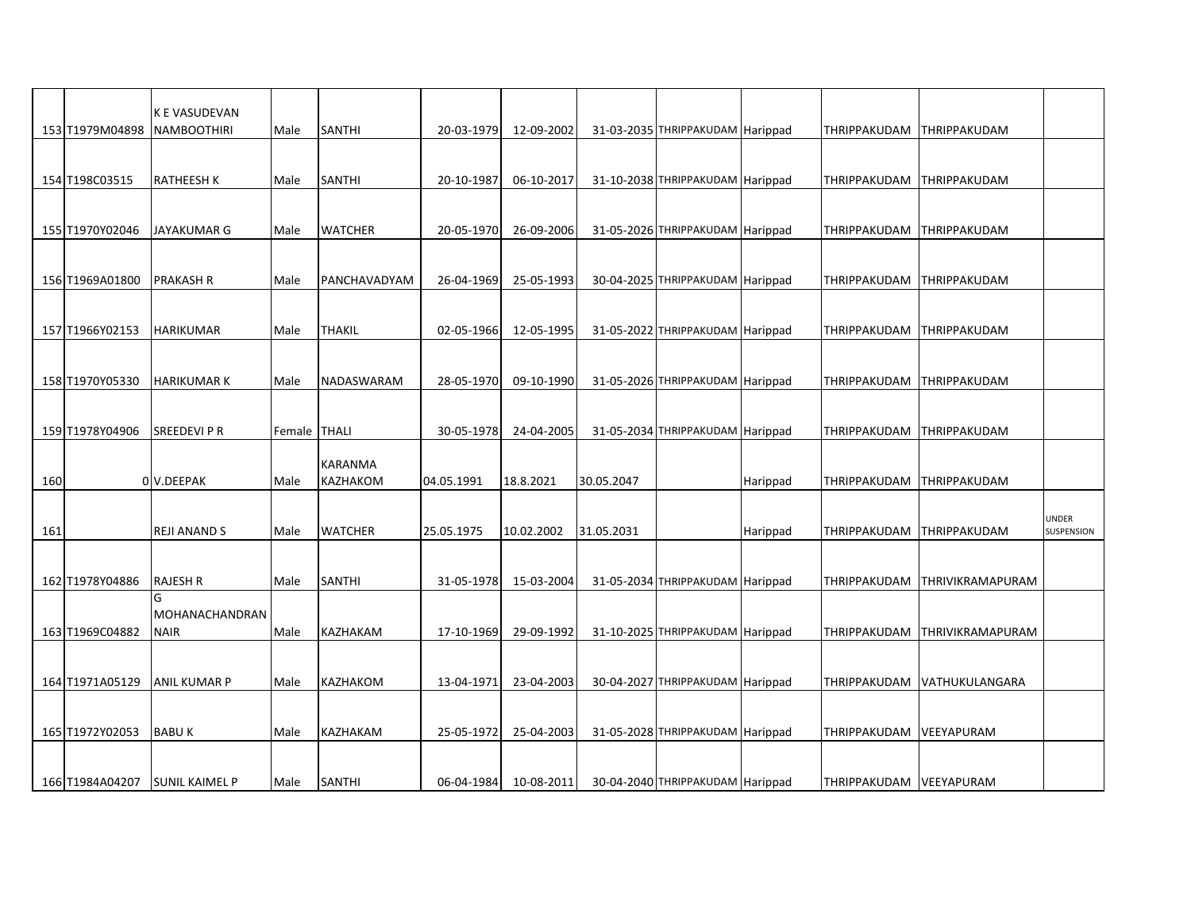|     |                 | <b>K E VASUDEVAN</b>  |              |                 |            |            |            |                                  |          |                           |                      |                            |
|-----|-----------------|-----------------------|--------------|-----------------|------------|------------|------------|----------------------------------|----------|---------------------------|----------------------|----------------------------|
|     | 153 T1979M04898 | <b>NAMBOOTHIRI</b>    | Male         | <b>SANTHI</b>   | 20-03-1979 | 12-09-2002 |            | 31-03-2035 THRIPPAKUDAM Harippad |          | THRIPPAKUDAM              | THRIPPAKUDAM         |                            |
|     |                 |                       |              |                 |            |            |            |                                  |          |                           |                      |                            |
|     | 154 T198C03515  | <b>RATHEESH K</b>     | Male         | <b>SANTHI</b>   | 20-10-1987 | 06-10-2017 |            | 31-10-2038 THRIPPAKUDAM Harippad |          | <b>THRIPPAKUDAM</b>       | <b>THRIPPAKUDAM</b>  |                            |
|     |                 |                       |              |                 |            |            |            |                                  |          |                           |                      |                            |
|     |                 |                       |              |                 |            |            |            |                                  |          |                           |                      |                            |
|     | 155 T1970Y02046 | JAYAKUMAR G           | Male         | <b>WATCHER</b>  | 20-05-1970 | 26-09-2006 |            | 31-05-2026 THRIPPAKUDAM Harippad |          | THRIPPAKUDAM              | THRIPPAKUDAM         |                            |
|     |                 |                       |              |                 |            |            |            |                                  |          |                           |                      |                            |
|     | 156 T1969A01800 | <b>PRAKASH R</b>      | Male         | PANCHAVADYAM    | 26-04-1969 | 25-05-1993 |            | 30-04-2025 THRIPPAKUDAM Harippad |          | THRIPPAKUDAM              | THRIPPAKUDAM         |                            |
|     |                 |                       |              |                 |            |            |            |                                  |          |                           |                      |                            |
|     | 157 T1966Y02153 | <b>HARIKUMAR</b>      | Male         | <b>THAKIL</b>   | 02-05-1966 | 12-05-1995 |            | 31-05-2022 THRIPPAKUDAM Harippad |          | THRIPPAKUDAM              | THRIPPAKUDAM         |                            |
|     |                 |                       |              |                 |            |            |            |                                  |          |                           |                      |                            |
|     | 158 T1970Y05330 | <b>HARIKUMAR K</b>    | Male         | NADASWARAM      | 28-05-1970 | 09-10-1990 |            | 31-05-2026 THRIPPAKUDAM Harippad |          | THRIPPAKUDAM              | THRIPPAKUDAM         |                            |
|     |                 |                       |              |                 |            |            |            |                                  |          |                           |                      |                            |
|     |                 |                       |              |                 |            |            |            |                                  |          |                           |                      |                            |
|     | 159 T1978Y04906 | <b>SREEDEVIPR</b>     | Female THALI |                 | 30-05-1978 | 24-04-2005 |            | 31-05-2034 THRIPPAKUDAM Harippad |          | <b>THRIPPAKUDAM</b>       | <b>THRIPPAKUDAM</b>  |                            |
|     |                 |                       |              | <b>KARANMA</b>  |            |            |            |                                  |          |                           |                      |                            |
| 160 |                 | 0 V.DEEPAK            | Male         | <b>KAZHAKOM</b> | 04.05.1991 | 18.8.2021  | 30.05.2047 |                                  | Harippad | THRIPPAKUDAM              | THRIPPAKUDAM         |                            |
|     |                 |                       |              |                 |            |            |            |                                  |          |                           |                      |                            |
| 161 |                 | <b>REJI ANAND S</b>   | Male         | <b>WATCHER</b>  | 25.05.1975 | 10.02.2002 | 31.05.2031 |                                  | Harippad | THRIPPAKUDAM              | <b>ITHRIPPAKUDAM</b> | <b>UNDER</b><br>SUSPENSION |
|     |                 |                       |              |                 |            |            |            |                                  |          |                           |                      |                            |
|     |                 |                       |              |                 |            |            |            |                                  |          |                           |                      |                            |
|     | 162 T1978Y04886 | <b>RAJESH R</b><br>G  | Male         | <b>SANTHI</b>   | 31-05-1978 | 15-03-2004 |            | 31-05-2034 THRIPPAKUDAM Harippad |          | THRIPPAKUDAM              | THRIVIKRAMAPURAM     |                            |
|     |                 | MOHANACHANDRAN        |              |                 |            |            |            |                                  |          |                           |                      |                            |
|     | 163 T1969C04882 | <b>NAIR</b>           | Male         | <b>KAZHAKAM</b> | 17-10-1969 | 29-09-1992 |            | 31-10-2025 THRIPPAKUDAM Harippad |          | THRIPPAKUDAM              | THRIVIKRAMAPURAM     |                            |
|     |                 |                       |              |                 |            |            |            |                                  |          |                           |                      |                            |
|     | 164 T1971A05129 | <b>ANIL KUMAR P</b>   | Male         | <b>KAZHAKOM</b> | 13-04-1971 | 23-04-2003 |            | 30-04-2027 THRIPPAKUDAM Harippad |          | <b>THRIPPAKUDAM</b>       | VATHUKULANGARA       |                            |
|     |                 |                       |              |                 |            |            |            |                                  |          |                           |                      |                            |
|     |                 |                       |              |                 |            |            |            |                                  |          |                           |                      |                            |
|     | 165 T1972Y02053 | <b>BABUK</b>          | Male         | <b>KAZHAKAM</b> | 25-05-1972 | 25-04-2003 |            | 31-05-2028 THRIPPAKUDAM Harippad |          | THRIPPAKUDAM              | VEEYAPURAM           |                            |
|     |                 |                       |              |                 |            |            |            |                                  |          |                           |                      |                            |
|     | 166 T1984A04207 | <b>SUNIL KAIMEL P</b> | Male         | <b>SANTHI</b>   | 06-04-1984 | 10-08-2011 |            | 30-04-2040 THRIPPAKUDAM Harippad |          | THRIPPAKUDAM   VEEYAPURAM |                      |                            |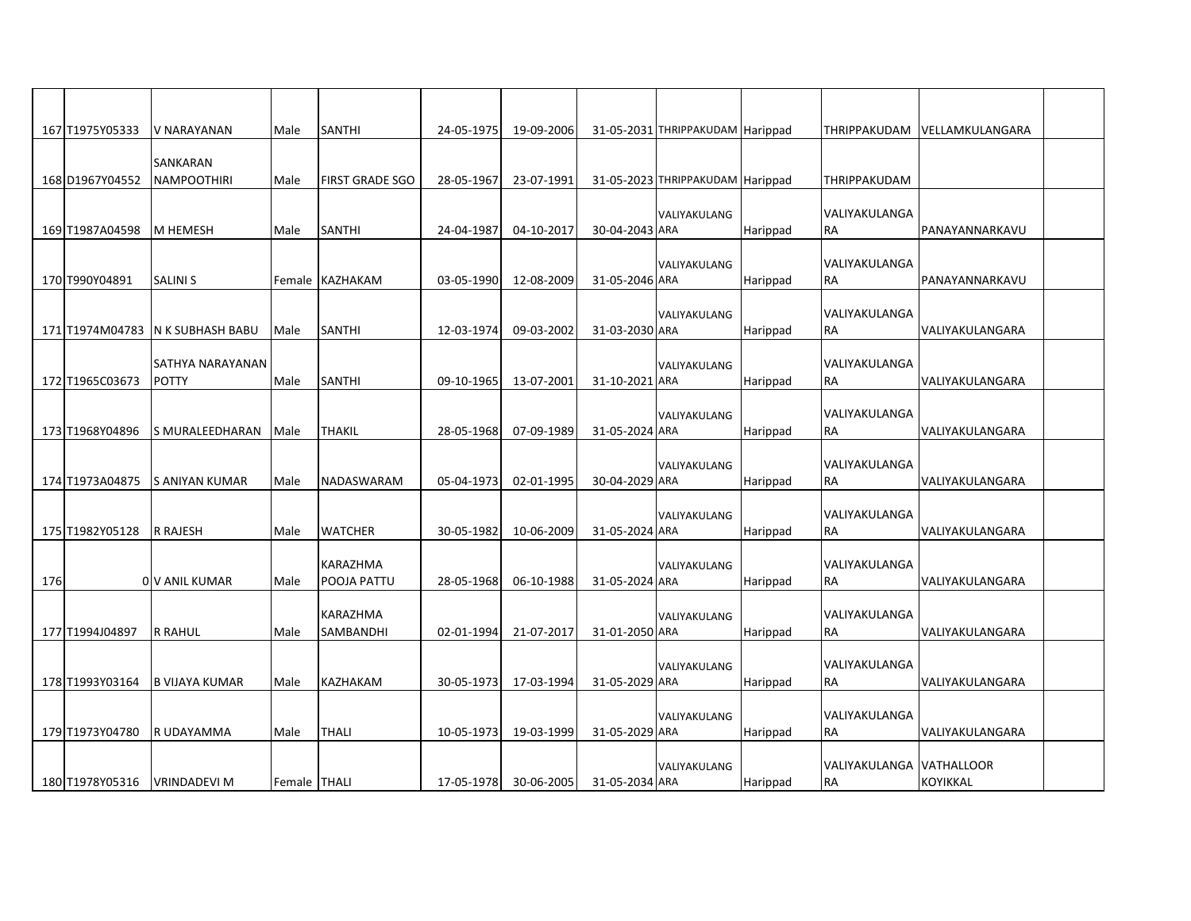|     | 167 T1975Y05333 | V NARAYANAN             | Male         | <b>SANTHI</b>          | 24-05-1975 | 19-09-2006 |                | 31-05-2031 THRIPPAKUDAM Harippad |          | <b>THRIPPAKUDAM</b>      | VELLAMKULANGARA |  |
|-----|-----------------|-------------------------|--------------|------------------------|------------|------------|----------------|----------------------------------|----------|--------------------------|-----------------|--|
|     |                 | SANKARAN                |              |                        |            |            |                |                                  |          |                          |                 |  |
|     | 168 D1967Y04552 | <b>NAMPOOTHIRI</b>      | Male         | <b>FIRST GRADE SGO</b> | 28-05-1967 | 23-07-1991 |                | 31-05-2023 THRIPPAKUDAM Harippad |          | <b>THRIPPAKUDAM</b>      |                 |  |
|     |                 |                         |              |                        |            |            |                | VALIYAKULANG                     |          | VALIYAKULANGA            |                 |  |
|     | 169 T1987A04598 | <b>M HEMESH</b>         | Male         | <b>SANTHI</b>          | 24-04-1987 | 04-10-2017 | 30-04-2043 ARA |                                  | Harippad | <b>RA</b>                | PANAYANNARKAVU  |  |
|     |                 |                         |              |                        |            |            |                | VALIYAKULANG                     |          | VALIYAKULANGA            |                 |  |
|     | 170 T990Y04891  | <b>SALINI S</b>         |              | Female KAZHAKAM        | 03-05-1990 | 12-08-2009 | 31-05-2046 ARA |                                  | Harippad | <b>RA</b>                | PANAYANNARKAVU  |  |
|     |                 |                         |              |                        |            |            |                | VALIYAKULANG                     |          | VALIYAKULANGA            |                 |  |
|     | 171 T1974M04783 | <b>N K SUBHASH BABU</b> | Male         | <b>SANTHI</b>          | 12-03-1974 | 09-03-2002 | 31-03-2030 ARA |                                  | Harippad | <b>RA</b>                | VALIYAKULANGARA |  |
|     |                 | <b>SATHYA NARAYANAN</b> |              |                        |            |            |                | VALIYAKULANG                     |          | VALIYAKULANGA            |                 |  |
|     | 172 T1965C03673 | <b>POTTY</b>            | Male         | <b>SANTHI</b>          | 09-10-1965 | 13-07-2001 | 31-10-2021 ARA |                                  | Harippad | RA                       | VALIYAKULANGARA |  |
|     |                 |                         |              |                        |            |            |                | VALIYAKULANG                     |          | VALIYAKULANGA            |                 |  |
|     | 173 T1968Y04896 | lS MURALEEDHARAN        | Male         | <b>THAKIL</b>          | 28-05-1968 | 07-09-1989 | 31-05-2024 ARA |                                  | Harippad | RA                       | VALIYAKULANGARA |  |
|     |                 |                         |              |                        |            |            |                | VALIYAKULANG                     |          | VALIYAKULANGA            |                 |  |
|     | 174 T1973A04875 | <b>S ANIYAN KUMAR</b>   | Male         | NADASWARAM             | 05-04-1973 | 02-01-1995 | 30-04-2029 ARA |                                  | Harippad | <b>RA</b>                | VALIYAKULANGARA |  |
|     |                 |                         |              |                        |            |            |                | VALIYAKULANG                     |          | <b>VALIYAKULANGA</b>     |                 |  |
|     | 175 T1982Y05128 | <b>R RAJESH</b>         | Male         | <b>WATCHER</b>         | 30-05-1982 | 10-06-2009 | 31-05-2024 ARA |                                  | Harippad | <b>RA</b>                | VALIYAKULANGARA |  |
|     |                 |                         |              | KARAZHMA               |            |            |                | VALIYAKULANG                     |          | VALIYAKULANGA            |                 |  |
| 176 |                 | OV ANIL KUMAR           | Male         | POOJA PATTU            | 28-05-1968 | 06-10-1988 | 31-05-2024 ARA |                                  | Harippad | RA                       | VALIYAKULANGARA |  |
|     |                 |                         |              | <b>KARAZHMA</b>        |            |            |                | VALIYAKULANG                     |          | VALIYAKULANGA            |                 |  |
|     | 177 T1994J04897 | <b>R RAHUL</b>          | Male         | SAMBANDHI              | 02-01-1994 | 21-07-2017 | 31-01-2050 ARA |                                  | Harippad | <b>RA</b>                | VALIYAKULANGARA |  |
|     |                 |                         |              |                        |            |            |                | VALIYAKULANG                     |          | VALIYAKULANGA            |                 |  |
|     | 178 T1993Y03164 | IB VIJAYA KUMAR         | Male         | <b>KAZHAKAM</b>        | 30-05-1973 | 17-03-1994 | 31-05-2029 ARA |                                  | Harippad | <b>RA</b>                | VALIYAKULANGARA |  |
|     |                 |                         |              |                        |            |            |                | VALIYAKULANG                     |          | VALIYAKULANGA            |                 |  |
|     | 179 T1973Y04780 | R UDAYAMMA              | Male         | <b>THALI</b>           | 10-05-1973 | 19-03-1999 | 31-05-2029 ARA |                                  | Harippad | RA                       | VALIYAKULANGARA |  |
|     |                 |                         |              |                        |            |            |                | VALIYAKULANG                     |          | VALIYAKULANGA VATHALLOOR |                 |  |
|     | 180 T1978Y05316 | VRINDADEVI M            | Female THALI |                        | 17-05-1978 | 30-06-2005 | 31-05-2034 ARA |                                  | Harippad | RA                       | <b>KOYIKKAL</b> |  |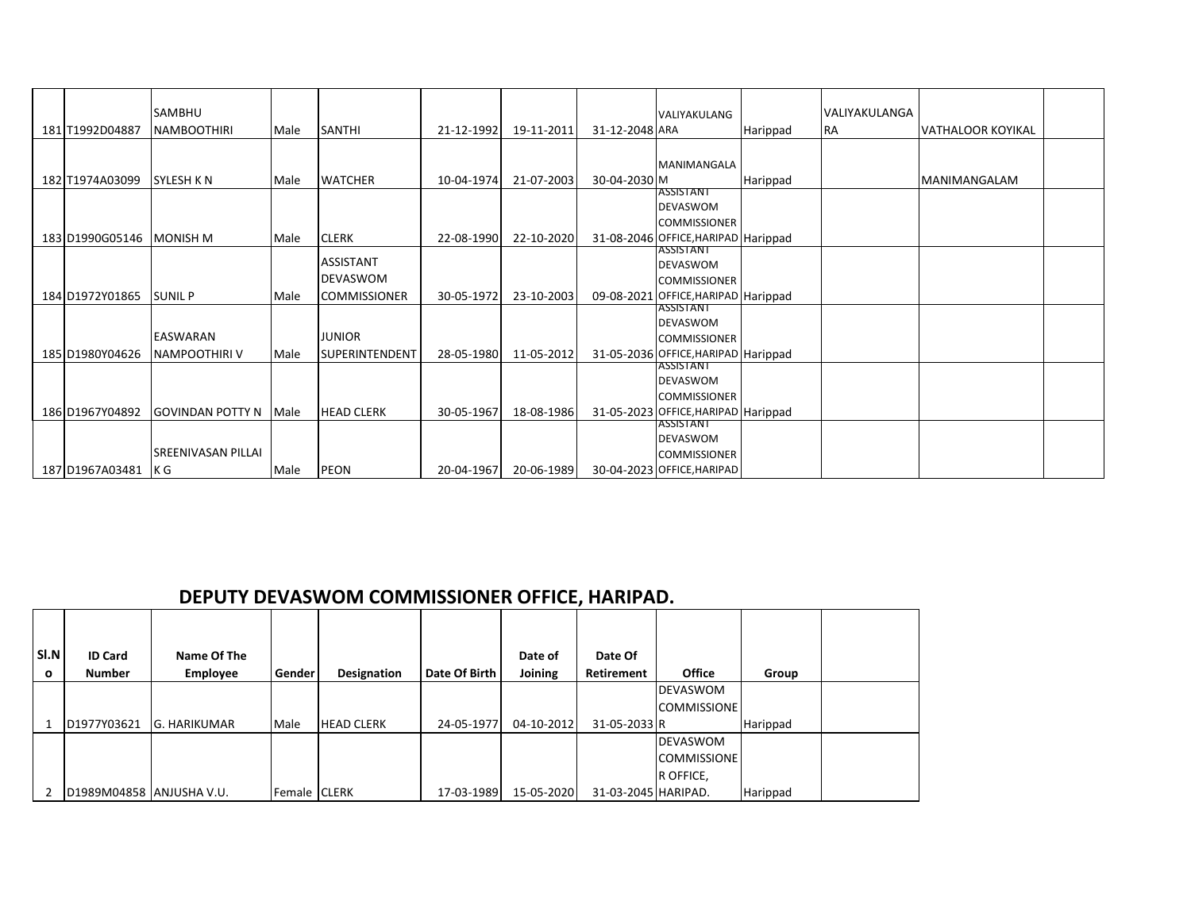|                 | SAMBHU                    |      |                     |            |            |                |                                                         |          | VALIYAKULANGA |                          |  |
|-----------------|---------------------------|------|---------------------|------------|------------|----------------|---------------------------------------------------------|----------|---------------|--------------------------|--|
|                 | <b>NAMBOOTHIRI</b>        | Male |                     |            |            | 31-12-2048 ARA | <b>VALIYAKULANG</b>                                     |          |               | <b>VATHALOOR KOYIKAL</b> |  |
| 181 T1992D04887 |                           |      | <b>SANTHI</b>       | 21-12-1992 | 19-11-2011 |                |                                                         | Harippad | <b>RA</b>     |                          |  |
|                 |                           |      |                     |            |            |                |                                                         |          |               |                          |  |
|                 |                           |      |                     |            |            |                | MANIMANGALA                                             |          |               |                          |  |
| 182 T1974A03099 | <b>SYLESH KN</b>          | Male | <b>WATCHER</b>      | 10-04-1974 | 21-07-2003 | 30-04-2030 M   |                                                         | Harippad |               | MANIMANGALAM             |  |
|                 |                           |      |                     |            |            |                | ASSISTANT                                               |          |               |                          |  |
|                 |                           |      |                     |            |            |                | <b>DEVASWOM</b>                                         |          |               |                          |  |
|                 |                           |      |                     |            |            |                | <b>COMMISSIONER</b>                                     |          |               |                          |  |
| 183 D1990G05146 | <b>MONISH M</b>           | Male | <b>CLERK</b>        | 22-08-1990 | 22-10-2020 |                | 31-08-2046 OFFICE, HARIPAD Harippad                     |          |               |                          |  |
|                 |                           |      | <b>ASSISTANT</b>    |            |            |                | ASSISTANT                                               |          |               |                          |  |
|                 |                           |      | DEVASWOM            |            |            |                | <b>DEVASWOM</b>                                         |          |               |                          |  |
|                 |                           |      |                     |            |            |                | <b>COMMISSIONER</b>                                     |          |               |                          |  |
| 184 D1972Y01865 | <b>SUNIL P</b>            | Male | <b>COMMISSIONER</b> | 30-05-1972 | 23-10-2003 |                | 09-08-2021 OFFICE, HARIPAD Harippad<br>ASSISTANT        |          |               |                          |  |
|                 |                           |      |                     |            |            |                | <b>DEVASWOM</b>                                         |          |               |                          |  |
|                 | <b>EASWARAN</b>           |      | <b>JUNIOR</b>       |            |            |                | <b>COMMISSIONER</b>                                     |          |               |                          |  |
|                 |                           |      |                     | 28-05-1980 |            |                |                                                         |          |               |                          |  |
| 185 D1980Y04626 | NAMPOOTHIRI V             | Male | ISUPERINTENDENT     |            | 11-05-2012 |                | 31-05-2036 OFFICE, HARIPAD Harippad<br><b>ASSISTANT</b> |          |               |                          |  |
|                 |                           |      |                     |            |            |                | <b>DEVASWOM</b>                                         |          |               |                          |  |
|                 |                           |      |                     |            |            |                | <b>COMMISSIONER</b>                                     |          |               |                          |  |
| 186 D1967Y04892 | <b>GOVINDAN POTTY N</b>   | Male | <b>HEAD CLERK</b>   | 30-05-1967 | 18-08-1986 |                | 31-05-2023 OFFICE, HARIPAD Harippad                     |          |               |                          |  |
|                 |                           |      |                     |            |            |                | ASSISTANT                                               |          |               |                          |  |
|                 |                           |      |                     |            |            |                | <b>DEVASWOM</b>                                         |          |               |                          |  |
|                 | <b>SREENIVASAN PILLAI</b> |      |                     |            |            |                | <b>COMMISSIONER</b>                                     |          |               |                          |  |
| 187 D1967A03481 | K G                       | Male | <b>PEON</b>         | 20-04-1967 | 20-06-1989 |                | 30-04-2023 OFFICE, HARIPAD                              |          |               |                          |  |

## **DEPUTY DEVASWOM COMMISSIONER OFFICE, HARIPAD.**

| SI.N | <b>ID Card</b>            | Name Of The         |              |                    |               | Date of    | Date Of             |                    |          |  |
|------|---------------------------|---------------------|--------------|--------------------|---------------|------------|---------------------|--------------------|----------|--|
| O    | <b>Number</b>             | Employee            | Gender       | <b>Designation</b> | Date Of Birth | Joining    | Retirement          | <b>Office</b>      | Group    |  |
|      |                           |                     |              |                    |               |            |                     | <b>DEVASWOM</b>    |          |  |
|      |                           |                     |              |                    |               |            |                     | <b>COMMISSIONE</b> |          |  |
|      | D1977Y03621               | <b>G. HARIKUMAR</b> | Male         | <b>HEAD CLERK</b>  | 24-05-1977    | 04-10-2012 | 31-05-2033 R        |                    | Harippad |  |
|      |                           |                     |              |                    |               |            |                     | <b>DEVASWOM</b>    |          |  |
|      |                           |                     |              |                    |               |            |                     | <b>COMMISSIONE</b> |          |  |
|      |                           |                     |              |                    |               |            |                     | R OFFICE,          |          |  |
|      | D1989M04858 LANJUSHA V.U. |                     | Female CLERK |                    | 17-03-1989    | 15-05-2020 | 31-03-2045 HARIPAD. |                    | Harippad |  |